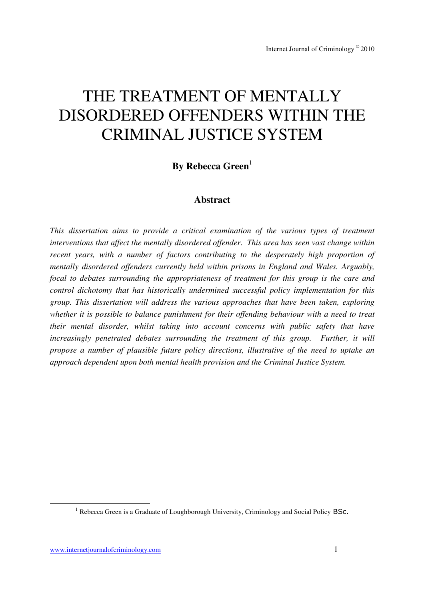# THE TREATMENT OF MENTALLY DISORDERED OFFENDERS WITHIN THE CRIMINAL JUSTICE SYSTEM

**By Rebecca Green**<sup>1</sup>

## **Abstract**

*This dissertation aims to provide a critical examination of the various types of treatment interventions that affect the mentally disordered offender. This area has seen vast change within recent years, with a number of factors contributing to the desperately high proportion of mentally disordered offenders currently held within prisons in England and Wales. Arguably, focal to debates surrounding the appropriateness of treatment for this group is the care and control dichotomy that has historically undermined successful policy implementation for this group. This dissertation will address the various approaches that have been taken, exploring whether it is possible to balance punishment for their offending behaviour with a need to treat their mental disorder, whilst taking into account concerns with public safety that have increasingly penetrated debates surrounding the treatment of this group. Further, it will propose a number of plausible future policy directions, illustrative of the need to uptake an approach dependent upon both mental health provision and the Criminal Justice System.* 

-

<sup>&</sup>lt;sup>1</sup> Rebecca Green is a Graduate of Loughborough University, Criminology and Social Policy BSc.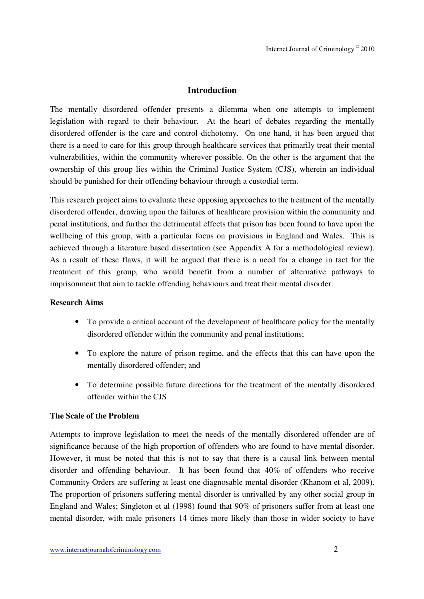## **Introduction**

The mentally disordered offender presents a dilemma when one attempts to implement legislation with regard to their behaviour. At the heart of debates regarding the mentally disordered offender is the care and control dichotomy. On one hand, it has been argued that there is a need to care for this group through healthcare services that primarily treat their mental vulnerabilities, within the community wherever possible. On the other is the argument that the ownership of this group lies within the Criminal Justice System (CJS), wherein an individual should be punished for their offending behaviour through a custodial term.

This research project aims to evaluate these opposing approaches to the treatment of the mentally disordered offender, drawing upon the failures of healthcare provision within the community and penal institutions, and further the detrimental effects that prison has been found to have upon the wellbeing of this group, with a particular focus on provisions in England and Wales. This is achieved through a literature based dissertation (see Appendix A for a methodological review). As a result of these flaws, it will be argued that there is a need for a change in tact for the treatment of this group, who would benefit from a number of alternative pathways to imprisonment that aim to tackle offending behaviours and treat their mental disorder.

#### **Research Aims**

- To provide a critical account of the development of healthcare policy for the mentally disordered offender within the community and penal institutions;
- To explore the nature of prison regime, and the effects that this can have upon the mentally disordered offender; and
- To determine possible future directions for the treatment of the mentally disordered offender within the CJS

#### **The Scale of the Problem**

Attempts to improve legislation to meet the needs of the mentally disordered offender are of significance because of the high proportion of offenders who are found to have mental disorder. However, it must be noted that this is not to say that there is a causal link between mental disorder and offending behaviour. It has been found that 40% of offenders who receive Community Orders are suffering at least one diagnosable mental disorder (Khanom et al, 2009). The proportion of prisoners suffering mental disorder is unrivalled by any other social group in England and Wales; Singleton et al (1998) found that 90% of prisoners suffer from at least one mental disorder, with male prisoners 14 times more likely than those in wider society to have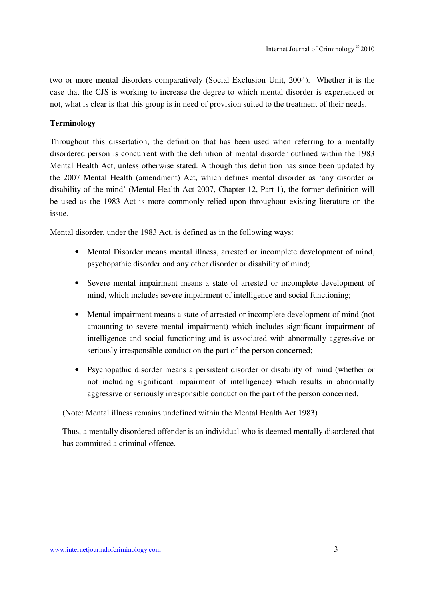two or more mental disorders comparatively (Social Exclusion Unit, 2004). Whether it is the case that the CJS is working to increase the degree to which mental disorder is experienced or not, what is clear is that this group is in need of provision suited to the treatment of their needs.

#### **Terminology**

Throughout this dissertation, the definition that has been used when referring to a mentally disordered person is concurrent with the definition of mental disorder outlined within the 1983 Mental Health Act, unless otherwise stated. Although this definition has since been updated by the 2007 Mental Health (amendment) Act, which defines mental disorder as 'any disorder or disability of the mind' (Mental Health Act 2007, Chapter 12, Part 1), the former definition will be used as the 1983 Act is more commonly relied upon throughout existing literature on the issue.

Mental disorder, under the 1983 Act, is defined as in the following ways:

- Mental Disorder means mental illness, arrested or incomplete development of mind, psychopathic disorder and any other disorder or disability of mind;
- Severe mental impairment means a state of arrested or incomplete development of mind, which includes severe impairment of intelligence and social functioning;
- Mental impairment means a state of arrested or incomplete development of mind (not amounting to severe mental impairment) which includes significant impairment of intelligence and social functioning and is associated with abnormally aggressive or seriously irresponsible conduct on the part of the person concerned;
- Psychopathic disorder means a persistent disorder or disability of mind (whether or not including significant impairment of intelligence) which results in abnormally aggressive or seriously irresponsible conduct on the part of the person concerned.

(Note: Mental illness remains undefined within the Mental Health Act 1983)

Thus, a mentally disordered offender is an individual who is deemed mentally disordered that has committed a criminal offence.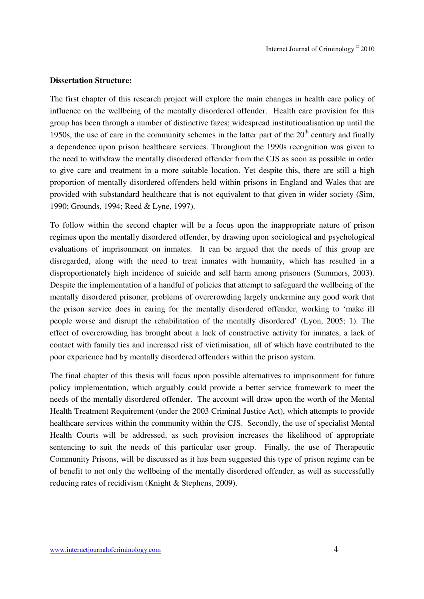#### **Dissertation Structure:**

The first chapter of this research project will explore the main changes in health care policy of influence on the wellbeing of the mentally disordered offender. Health care provision for this group has been through a number of distinctive fazes; widespread institutionalisation up until the 1950s, the use of care in the community schemes in the latter part of the  $20<sup>th</sup>$  century and finally a dependence upon prison healthcare services. Throughout the 1990s recognition was given to the need to withdraw the mentally disordered offender from the CJS as soon as possible in order to give care and treatment in a more suitable location. Yet despite this, there are still a high proportion of mentally disordered offenders held within prisons in England and Wales that are provided with substandard healthcare that is not equivalent to that given in wider society (Sim, 1990; Grounds, 1994; Reed & Lyne, 1997).

To follow within the second chapter will be a focus upon the inappropriate nature of prison regimes upon the mentally disordered offender, by drawing upon sociological and psychological evaluations of imprisonment on inmates. It can be argued that the needs of this group are disregarded, along with the need to treat inmates with humanity, which has resulted in a disproportionately high incidence of suicide and self harm among prisoners (Summers, 2003). Despite the implementation of a handful of policies that attempt to safeguard the wellbeing of the mentally disordered prisoner, problems of overcrowding largely undermine any good work that the prison service does in caring for the mentally disordered offender, working to 'make ill people worse and disrupt the rehabilitation of the mentally disordered' (Lyon, 2005; 1). The effect of overcrowding has brought about a lack of constructive activity for inmates, a lack of contact with family ties and increased risk of victimisation, all of which have contributed to the poor experience had by mentally disordered offenders within the prison system.

The final chapter of this thesis will focus upon possible alternatives to imprisonment for future policy implementation, which arguably could provide a better service framework to meet the needs of the mentally disordered offender. The account will draw upon the worth of the Mental Health Treatment Requirement (under the 2003 Criminal Justice Act), which attempts to provide healthcare services within the community within the CJS. Secondly, the use of specialist Mental Health Courts will be addressed, as such provision increases the likelihood of appropriate sentencing to suit the needs of this particular user group. Finally, the use of Therapeutic Community Prisons, will be discussed as it has been suggested this type of prison regime can be of benefit to not only the wellbeing of the mentally disordered offender, as well as successfully reducing rates of recidivism (Knight & Stephens, 2009).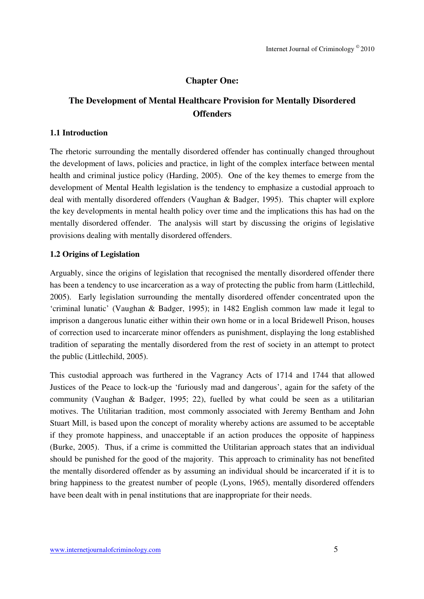## **Chapter One:**

## **The Development of Mental Healthcare Provision for Mentally Disordered Offenders**

#### **1.1 Introduction**

The rhetoric surrounding the mentally disordered offender has continually changed throughout the development of laws, policies and practice, in light of the complex interface between mental health and criminal justice policy (Harding, 2005). One of the key themes to emerge from the development of Mental Health legislation is the tendency to emphasize a custodial approach to deal with mentally disordered offenders (Vaughan & Badger, 1995). This chapter will explore the key developments in mental health policy over time and the implications this has had on the mentally disordered offender. The analysis will start by discussing the origins of legislative provisions dealing with mentally disordered offenders.

#### **1.2 Origins of Legislation**

Arguably, since the origins of legislation that recognised the mentally disordered offender there has been a tendency to use incarceration as a way of protecting the public from harm (Littlechild, 2005). Early legislation surrounding the mentally disordered offender concentrated upon the 'criminal lunatic' (Vaughan & Badger, 1995); in 1482 English common law made it legal to imprison a dangerous lunatic either within their own home or in a local Bridewell Prison, houses of correction used to incarcerate minor offenders as punishment, displaying the long established tradition of separating the mentally disordered from the rest of society in an attempt to protect the public (Littlechild, 2005).

This custodial approach was furthered in the Vagrancy Acts of 1714 and 1744 that allowed Justices of the Peace to lock-up the 'furiously mad and dangerous', again for the safety of the community (Vaughan & Badger, 1995; 22), fuelled by what could be seen as a utilitarian motives. The Utilitarian tradition, most commonly associated with Jeremy Bentham and John Stuart Mill, is based upon the concept of morality whereby actions are assumed to be acceptable if they promote happiness, and unacceptable if an action produces the opposite of happiness (Burke, 2005). Thus, if a crime is committed the Utilitarian approach states that an individual should be punished for the good of the majority. This approach to criminality has not benefited the mentally disordered offender as by assuming an individual should be incarcerated if it is to bring happiness to the greatest number of people (Lyons, 1965), mentally disordered offenders have been dealt with in penal institutions that are inappropriate for their needs.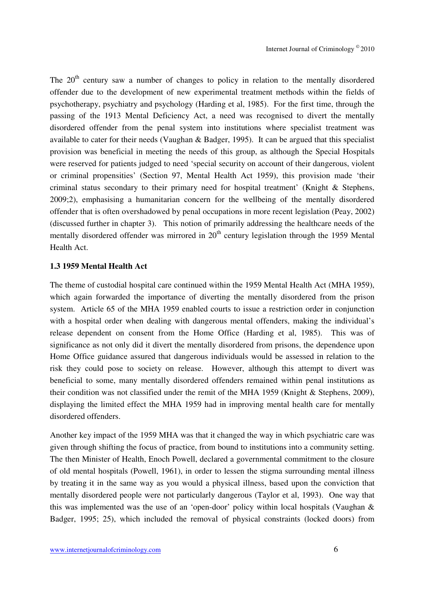The  $20<sup>th</sup>$  century saw a number of changes to policy in relation to the mentally disordered offender due to the development of new experimental treatment methods within the fields of psychotherapy, psychiatry and psychology (Harding et al, 1985). For the first time, through the passing of the 1913 Mental Deficiency Act, a need was recognised to divert the mentally disordered offender from the penal system into institutions where specialist treatment was available to cater for their needs (Vaughan & Badger, 1995). It can be argued that this specialist provision was beneficial in meeting the needs of this group, as although the Special Hospitals were reserved for patients judged to need 'special security on account of their dangerous, violent or criminal propensities' (Section 97, Mental Health Act 1959), this provision made 'their criminal status secondary to their primary need for hospital treatment' (Knight & Stephens, 2009;2), emphasising a humanitarian concern for the wellbeing of the mentally disordered offender that is often overshadowed by penal occupations in more recent legislation (Peay, 2002) (discussed further in chapter 3). This notion of primarily addressing the healthcare needs of the mentally disordered offender was mirrored in  $20<sup>th</sup>$  century legislation through the 1959 Mental Health Act.

#### **1.3 1959 Mental Health Act**

The theme of custodial hospital care continued within the 1959 Mental Health Act (MHA 1959), which again forwarded the importance of diverting the mentally disordered from the prison system. Article 65 of the MHA 1959 enabled courts to issue a restriction order in conjunction with a hospital order when dealing with dangerous mental offenders, making the individual's release dependent on consent from the Home Office (Harding et al, 1985). This was of significance as not only did it divert the mentally disordered from prisons, the dependence upon Home Office guidance assured that dangerous individuals would be assessed in relation to the risk they could pose to society on release. However, although this attempt to divert was beneficial to some, many mentally disordered offenders remained within penal institutions as their condition was not classified under the remit of the MHA 1959 (Knight & Stephens, 2009), displaying the limited effect the MHA 1959 had in improving mental health care for mentally disordered offenders.

Another key impact of the 1959 MHA was that it changed the way in which psychiatric care was given through shifting the focus of practice, from bound to institutions into a community setting. The then Minister of Health, Enoch Powell, declared a governmental commitment to the closure of old mental hospitals (Powell, 1961), in order to lessen the stigma surrounding mental illness by treating it in the same way as you would a physical illness, based upon the conviction that mentally disordered people were not particularly dangerous (Taylor et al, 1993). One way that this was implemented was the use of an 'open-door' policy within local hospitals (Vaughan & Badger, 1995; 25), which included the removal of physical constraints (locked doors) from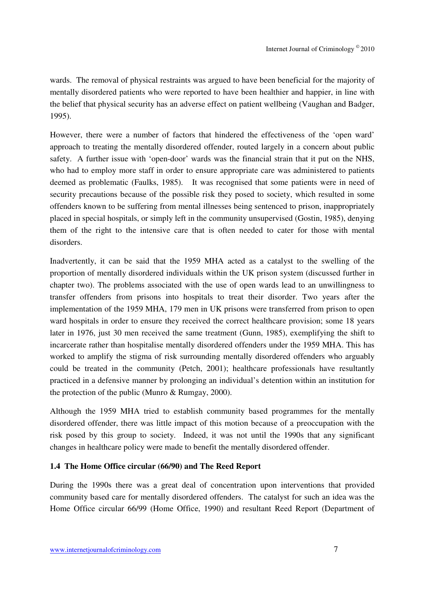wards. The removal of physical restraints was argued to have been beneficial for the majority of mentally disordered patients who were reported to have been healthier and happier, in line with the belief that physical security has an adverse effect on patient wellbeing (Vaughan and Badger, 1995).

However, there were a number of factors that hindered the effectiveness of the 'open ward' approach to treating the mentally disordered offender, routed largely in a concern about public safety. A further issue with 'open-door' wards was the financial strain that it put on the NHS, who had to employ more staff in order to ensure appropriate care was administered to patients deemed as problematic (Faulks, 1985). It was recognised that some patients were in need of security precautions because of the possible risk they posed to society, which resulted in some offenders known to be suffering from mental illnesses being sentenced to prison, inappropriately placed in special hospitals, or simply left in the community unsupervised (Gostin, 1985), denying them of the right to the intensive care that is often needed to cater for those with mental disorders.

Inadvertently, it can be said that the 1959 MHA acted as a catalyst to the swelling of the proportion of mentally disordered individuals within the UK prison system (discussed further in chapter two). The problems associated with the use of open wards lead to an unwillingness to transfer offenders from prisons into hospitals to treat their disorder. Two years after the implementation of the 1959 MHA, 179 men in UK prisons were transferred from prison to open ward hospitals in order to ensure they received the correct healthcare provision; some 18 years later in 1976, just 30 men received the same treatment (Gunn, 1985), exemplifying the shift to incarcerate rather than hospitalise mentally disordered offenders under the 1959 MHA. This has worked to amplify the stigma of risk surrounding mentally disordered offenders who arguably could be treated in the community (Petch, 2001); healthcare professionals have resultantly practiced in a defensive manner by prolonging an individual's detention within an institution for the protection of the public (Munro & Rumgay, 2000).

Although the 1959 MHA tried to establish community based programmes for the mentally disordered offender, there was little impact of this motion because of a preoccupation with the risk posed by this group to society. Indeed, it was not until the 1990s that any significant changes in healthcare policy were made to benefit the mentally disordered offender.

#### **1.4 The Home Office circular (66/90) and The Reed Report**

During the 1990s there was a great deal of concentration upon interventions that provided community based care for mentally disordered offenders. The catalyst for such an idea was the Home Office circular 66/99 (Home Office, 1990) and resultant Reed Report (Department of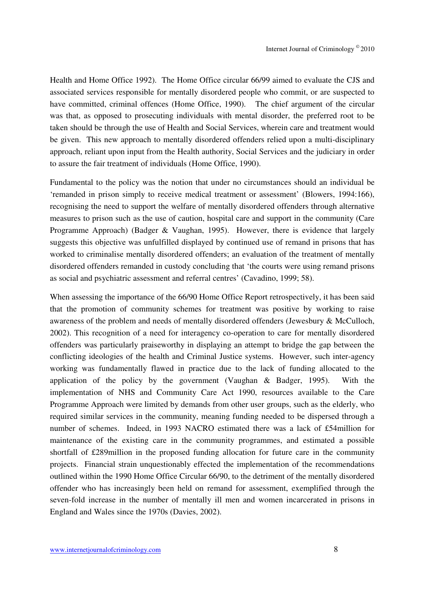Health and Home Office 1992). The Home Office circular 66/99 aimed to evaluate the CJS and associated services responsible for mentally disordered people who commit, or are suspected to have committed, criminal offences (Home Office, 1990). The chief argument of the circular was that, as opposed to prosecuting individuals with mental disorder, the preferred root to be taken should be through the use of Health and Social Services, wherein care and treatment would be given. This new approach to mentally disordered offenders relied upon a multi-disciplinary approach, reliant upon input from the Health authority, Social Services and the judiciary in order to assure the fair treatment of individuals (Home Office, 1990).

Fundamental to the policy was the notion that under no circumstances should an individual be 'remanded in prison simply to receive medical treatment or assessment' (Blowers, 1994:166), recognising the need to support the welfare of mentally disordered offenders through alternative measures to prison such as the use of caution, hospital care and support in the community (Care Programme Approach) (Badger & Vaughan, 1995). However, there is evidence that largely suggests this objective was unfulfilled displayed by continued use of remand in prisons that has worked to criminalise mentally disordered offenders; an evaluation of the treatment of mentally disordered offenders remanded in custody concluding that 'the courts were using remand prisons as social and psychiatric assessment and referral centres' (Cavadino, 1999; 58).

When assessing the importance of the 66/90 Home Office Report retrospectively, it has been said that the promotion of community schemes for treatment was positive by working to raise awareness of the problem and needs of mentally disordered offenders (Jewesbury & McCulloch, 2002). This recognition of a need for interagency co-operation to care for mentally disordered offenders was particularly praiseworthy in displaying an attempt to bridge the gap between the conflicting ideologies of the health and Criminal Justice systems. However, such inter-agency working was fundamentally flawed in practice due to the lack of funding allocated to the application of the policy by the government (Vaughan & Badger, 1995). With the implementation of NHS and Community Care Act 1990, resources available to the Care Programme Approach were limited by demands from other user groups, such as the elderly, who required similar services in the community, meaning funding needed to be dispersed through a number of schemes. Indeed, in 1993 NACRO estimated there was a lack of £54million for maintenance of the existing care in the community programmes, and estimated a possible shortfall of £289million in the proposed funding allocation for future care in the community projects. Financial strain unquestionably effected the implementation of the recommendations outlined within the 1990 Home Office Circular 66/90, to the detriment of the mentally disordered offender who has increasingly been held on remand for assessment, exemplified through the seven-fold increase in the number of mentally ill men and women incarcerated in prisons in England and Wales since the 1970s (Davies, 2002).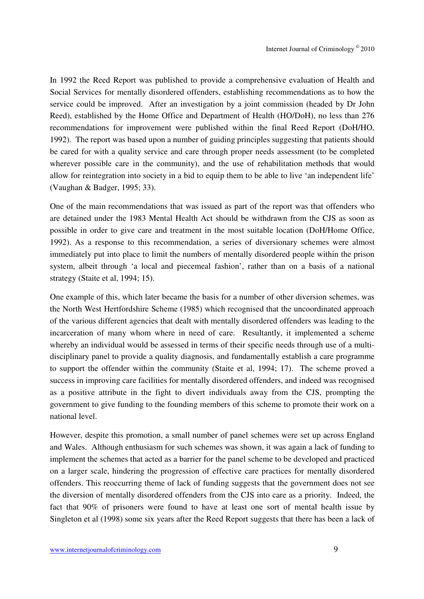In 1992 the Reed Report was published to provide a comprehensive evaluation of Health and Social Services for mentally disordered offenders, establishing recommendations as to how the service could be improved. After an investigation by a joint commission (headed by Dr John Reed), established by the Home Office and Department of Health (HO/DoH), no less than 276 recommendations for improvement were published within the final Reed Report (DoH/HO, 1992). The report was based upon a number of guiding principles suggesting that patients should be cared for with a quality service and care through proper needs assessment (to be completed wherever possible care in the community), and the use of rehabilitation methods that would allow for reintegration into society in a bid to equip them to be able to live 'an independent life' (Vaughan & Badger, 1995; 33).

One of the main recommendations that was issued as part of the report was that offenders who are detained under the 1983 Mental Health Act should be withdrawn from the CJS as soon as possible in order to give care and treatment in the most suitable location (DoH/Home Office, 1992). As a response to this recommendation, a series of diversionary schemes were almost immediately put into place to limit the numbers of mentally disordered people within the prison system, albeit through 'a local and piecemeal fashion', rather than on a basis of a national strategy (Staite et al, 1994; 15).

One example of this, which later became the basis for a number of other diversion schemes, was the North West Hertfordshire Scheme (1985) which recognised that the uncoordinated approach of the various different agencies that dealt with mentally disordered offenders was leading to the incarceration of many whom where in need of care. Resultantly, it implemented a scheme whereby an individual would be assessed in terms of their specific needs through use of a multidisciplinary panel to provide a quality diagnosis, and fundamentally establish a care programme to support the offender within the community (Staite et al, 1994; 17). The scheme proved a success in improving care facilities for mentally disordered offenders, and indeed was recognised as a positive attribute in the fight to divert individuals away from the CJS, prompting the government to give funding to the founding members of this scheme to promote their work on a national level.

However, despite this promotion, a small number of panel schemes were set up across England and Wales. Although enthusiasm for such schemes was shown, it was again a lack of funding to implement the schemes that acted as a barrier for the panel scheme to be developed and practiced on a larger scale, hindering the progression of effective care practices for mentally disordered offenders. This reoccurring theme of lack of funding suggests that the government does not see the diversion of mentally disordered offenders from the CJS into care as a priority. Indeed, the fact that 90% of prisoners were found to have at least one sort of mental health issue by Singleton et al (1998) some six years after the Reed Report suggests that there has been a lack of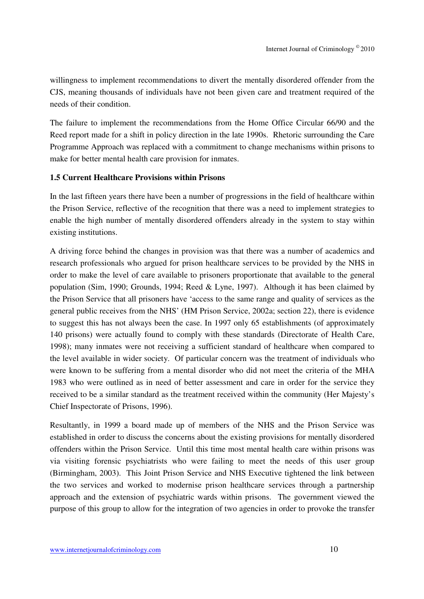willingness to implement recommendations to divert the mentally disordered offender from the CJS, meaning thousands of individuals have not been given care and treatment required of the needs of their condition.

The failure to implement the recommendations from the Home Office Circular 66/90 and the Reed report made for a shift in policy direction in the late 1990s. Rhetoric surrounding the Care Programme Approach was replaced with a commitment to change mechanisms within prisons to make for better mental health care provision for inmates.

#### **1.5 Current Healthcare Provisions within Prisons**

In the last fifteen years there have been a number of progressions in the field of healthcare within the Prison Service, reflective of the recognition that there was a need to implement strategies to enable the high number of mentally disordered offenders already in the system to stay within existing institutions.

A driving force behind the changes in provision was that there was a number of academics and research professionals who argued for prison healthcare services to be provided by the NHS in order to make the level of care available to prisoners proportionate that available to the general population (Sim, 1990; Grounds, 1994; Reed & Lyne, 1997). Although it has been claimed by the Prison Service that all prisoners have 'access to the same range and quality of services as the general public receives from the NHS' (HM Prison Service, 2002a; section 22), there is evidence to suggest this has not always been the case. In 1997 only 65 establishments (of approximately 140 prisons) were actually found to comply with these standards (Directorate of Health Care, 1998); many inmates were not receiving a sufficient standard of healthcare when compared to the level available in wider society. Of particular concern was the treatment of individuals who were known to be suffering from a mental disorder who did not meet the criteria of the MHA 1983 who were outlined as in need of better assessment and care in order for the service they received to be a similar standard as the treatment received within the community (Her Majesty's Chief Inspectorate of Prisons, 1996).

Resultantly, in 1999 a board made up of members of the NHS and the Prison Service was established in order to discuss the concerns about the existing provisions for mentally disordered offenders within the Prison Service. Until this time most mental health care within prisons was via visiting forensic psychiatrists who were failing to meet the needs of this user group (Birmingham, 2003). This Joint Prison Service and NHS Executive tightened the link between the two services and worked to modernise prison healthcare services through a partnership approach and the extension of psychiatric wards within prisons. The government viewed the purpose of this group to allow for the integration of two agencies in order to provoke the transfer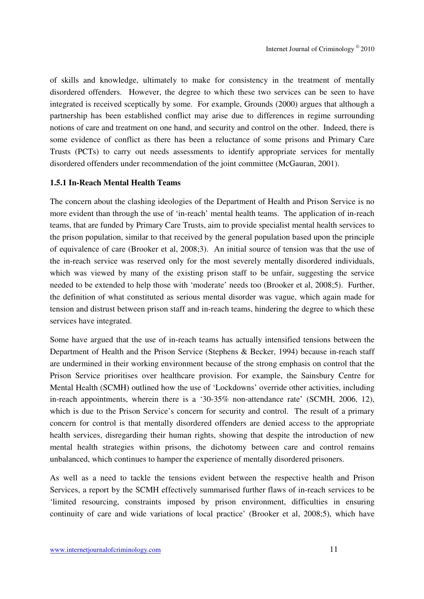of skills and knowledge, ultimately to make for consistency in the treatment of mentally disordered offenders. However, the degree to which these two services can be seen to have integrated is received sceptically by some. For example, Grounds (2000) argues that although a partnership has been established conflict may arise due to differences in regime surrounding notions of care and treatment on one hand, and security and control on the other. Indeed, there is some evidence of conflict as there has been a reluctance of some prisons and Primary Care Trusts (PCTs) to carry out needs assessments to identify appropriate services for mentally disordered offenders under recommendation of the joint committee (McGauran, 2001).

#### **1.5.1 In-Reach Mental Health Teams**

The concern about the clashing ideologies of the Department of Health and Prison Service is no more evident than through the use of 'in-reach' mental health teams. The application of in-reach teams, that are funded by Primary Care Trusts, aim to provide specialist mental health services to the prison population, similar to that received by the general population based upon the principle of equivalence of care (Brooker et al, 2008;3). An initial source of tension was that the use of the in-reach service was reserved only for the most severely mentally disordered individuals, which was viewed by many of the existing prison staff to be unfair, suggesting the service needed to be extended to help those with 'moderate' needs too (Brooker et al, 2008;5). Further, the definition of what constituted as serious mental disorder was vague, which again made for tension and distrust between prison staff and in-reach teams, hindering the degree to which these services have integrated.

Some have argued that the use of in-reach teams has actually intensified tensions between the Department of Health and the Prison Service (Stephens & Becker, 1994) because in-reach staff are undermined in their working environment because of the strong emphasis on control that the Prison Service prioritises over healthcare provision. For example, the Sainsbury Centre for Mental Health (SCMH) outlined how the use of 'Lockdowns' override other activities, including in-reach appointments, wherein there is a '30-35% non-attendance rate' (SCMH, 2006, 12), which is due to the Prison Service's concern for security and control. The result of a primary concern for control is that mentally disordered offenders are denied access to the appropriate health services, disregarding their human rights, showing that despite the introduction of new mental health strategies within prisons, the dichotomy between care and control remains unbalanced, which continues to hamper the experience of mentally disordered prisoners.

As well as a need to tackle the tensions evident between the respective health and Prison Services, a report by the SCMH effectively summarised further flaws of in-reach services to be 'limited resourcing, constraints imposed by prison environment, difficulties in ensuring continuity of care and wide variations of local practice' (Brooker et al, 2008;5), which have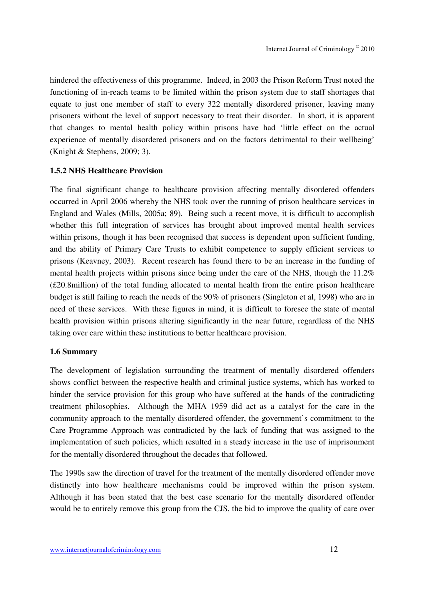hindered the effectiveness of this programme. Indeed, in 2003 the Prison Reform Trust noted the functioning of in-reach teams to be limited within the prison system due to staff shortages that equate to just one member of staff to every 322 mentally disordered prisoner, leaving many prisoners without the level of support necessary to treat their disorder. In short, it is apparent that changes to mental health policy within prisons have had 'little effect on the actual experience of mentally disordered prisoners and on the factors detrimental to their wellbeing' (Knight & Stephens, 2009; 3).

#### **1.5.2 NHS Healthcare Provision**

The final significant change to healthcare provision affecting mentally disordered offenders occurred in April 2006 whereby the NHS took over the running of prison healthcare services in England and Wales (Mills, 2005a; 89). Being such a recent move, it is difficult to accomplish whether this full integration of services has brought about improved mental health services within prisons, though it has been recognised that success is dependent upon sufficient funding, and the ability of Primary Care Trusts to exhibit competence to supply efficient services to prisons (Keavney, 2003). Recent research has found there to be an increase in the funding of mental health projects within prisons since being under the care of the NHS, though the 11.2% (£20.8million) of the total funding allocated to mental health from the entire prison healthcare budget is still failing to reach the needs of the 90% of prisoners (Singleton et al, 1998) who are in need of these services. With these figures in mind, it is difficult to foresee the state of mental health provision within prisons altering significantly in the near future, regardless of the NHS taking over care within these institutions to better healthcare provision.

#### **1.6 Summary**

The development of legislation surrounding the treatment of mentally disordered offenders shows conflict between the respective health and criminal justice systems, which has worked to hinder the service provision for this group who have suffered at the hands of the contradicting treatment philosophies. Although the MHA 1959 did act as a catalyst for the care in the community approach to the mentally disordered offender, the government's commitment to the Care Programme Approach was contradicted by the lack of funding that was assigned to the implementation of such policies, which resulted in a steady increase in the use of imprisonment for the mentally disordered throughout the decades that followed.

The 1990s saw the direction of travel for the treatment of the mentally disordered offender move distinctly into how healthcare mechanisms could be improved within the prison system. Although it has been stated that the best case scenario for the mentally disordered offender would be to entirely remove this group from the CJS, the bid to improve the quality of care over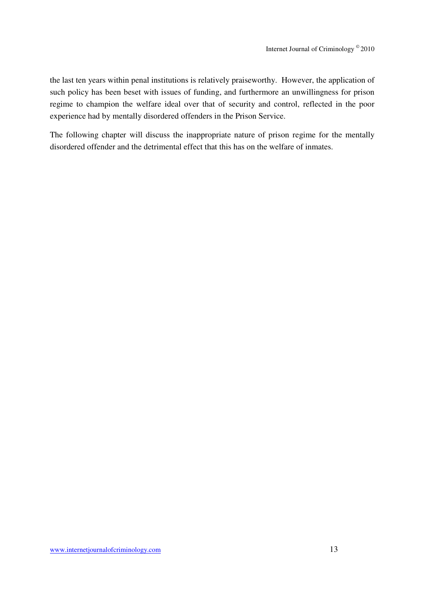the last ten years within penal institutions is relatively praiseworthy. However, the application of such policy has been beset with issues of funding, and furthermore an unwillingness for prison regime to champion the welfare ideal over that of security and control, reflected in the poor experience had by mentally disordered offenders in the Prison Service.

The following chapter will discuss the inappropriate nature of prison regime for the mentally disordered offender and the detrimental effect that this has on the welfare of inmates.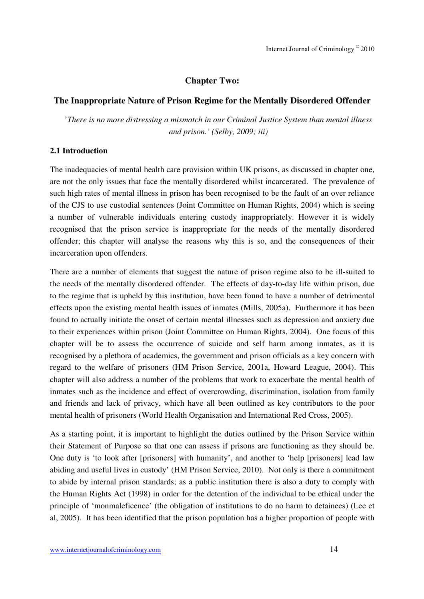## **Chapter Two:**

## **The Inappropriate Nature of Prison Regime for the Mentally Disordered Offender**

'*There is no more distressing a mismatch in our Criminal Justice System than mental illness and prison.' (Selby, 2009; iii)* 

#### **2.1 Introduction**

The inadequacies of mental health care provision within UK prisons, as discussed in chapter one, are not the only issues that face the mentally disordered whilst incarcerated. The prevalence of such high rates of mental illness in prison has been recognised to be the fault of an over reliance of the CJS to use custodial sentences (Joint Committee on Human Rights, 2004) which is seeing a number of vulnerable individuals entering custody inappropriately. However it is widely recognised that the prison service is inappropriate for the needs of the mentally disordered offender; this chapter will analyse the reasons why this is so, and the consequences of their incarceration upon offenders.

There are a number of elements that suggest the nature of prison regime also to be ill-suited to the needs of the mentally disordered offender. The effects of day-to-day life within prison, due to the regime that is upheld by this institution, have been found to have a number of detrimental effects upon the existing mental health issues of inmates (Mills, 2005a). Furthermore it has been found to actually initiate the onset of certain mental illnesses such as depression and anxiety due to their experiences within prison (Joint Committee on Human Rights, 2004). One focus of this chapter will be to assess the occurrence of suicide and self harm among inmates, as it is recognised by a plethora of academics, the government and prison officials as a key concern with regard to the welfare of prisoners (HM Prison Service, 2001a, Howard League, 2004). This chapter will also address a number of the problems that work to exacerbate the mental health of inmates such as the incidence and effect of overcrowding, discrimination, isolation from family and friends and lack of privacy, which have all been outlined as key contributors to the poor mental health of prisoners (World Health Organisation and International Red Cross, 2005).

As a starting point, it is important to highlight the duties outlined by the Prison Service within their Statement of Purpose so that one can assess if prisons are functioning as they should be. One duty is 'to look after [prisoners] with humanity', and another to 'help [prisoners] lead law abiding and useful lives in custody' (HM Prison Service, 2010). Not only is there a commitment to abide by internal prison standards; as a public institution there is also a duty to comply with the Human Rights Act (1998) in order for the detention of the individual to be ethical under the principle of 'monmaleficence' (the obligation of institutions to do no harm to detainees) (Lee et al, 2005). It has been identified that the prison population has a higher proportion of people with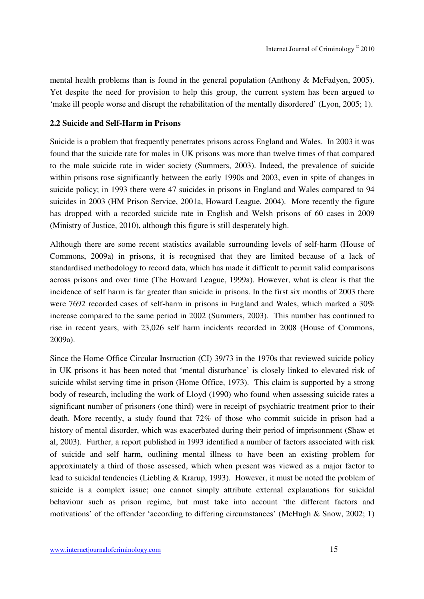mental health problems than is found in the general population (Anthony & McFadyen, 2005). Yet despite the need for provision to help this group, the current system has been argued to 'make ill people worse and disrupt the rehabilitation of the mentally disordered' (Lyon, 2005; 1).

#### **2.2 Suicide and Self-Harm in Prisons**

Suicide is a problem that frequently penetrates prisons across England and Wales. In 2003 it was found that the suicide rate for males in UK prisons was more than twelve times of that compared to the male suicide rate in wider society (Summers, 2003). Indeed, the prevalence of suicide within prisons rose significantly between the early 1990s and 2003, even in spite of changes in suicide policy; in 1993 there were 47 suicides in prisons in England and Wales compared to 94 suicides in 2003 (HM Prison Service, 2001a, Howard League, 2004). More recently the figure has dropped with a recorded suicide rate in English and Welsh prisons of 60 cases in 2009 (Ministry of Justice, 2010), although this figure is still desperately high.

Although there are some recent statistics available surrounding levels of self-harm (House of Commons, 2009a) in prisons, it is recognised that they are limited because of a lack of standardised methodology to record data, which has made it difficult to permit valid comparisons across prisons and over time (The Howard League, 1999a). However, what is clear is that the incidence of self harm is far greater than suicide in prisons. In the first six months of 2003 there were 7692 recorded cases of self-harm in prisons in England and Wales, which marked a 30% increase compared to the same period in 2002 (Summers, 2003). This number has continued to rise in recent years, with 23,026 self harm incidents recorded in 2008 (House of Commons, 2009a).

Since the Home Office Circular Instruction (CI) 39/73 in the 1970s that reviewed suicide policy in UK prisons it has been noted that 'mental disturbance' is closely linked to elevated risk of suicide whilst serving time in prison (Home Office, 1973). This claim is supported by a strong body of research, including the work of Lloyd (1990) who found when assessing suicide rates a significant number of prisoners (one third) were in receipt of psychiatric treatment prior to their death. More recently, a study found that 72% of those who commit suicide in prison had a history of mental disorder, which was exacerbated during their period of imprisonment (Shaw et al, 2003). Further, a report published in 1993 identified a number of factors associated with risk of suicide and self harm, outlining mental illness to have been an existing problem for approximately a third of those assessed, which when present was viewed as a major factor to lead to suicidal tendencies (Liebling & Krarup, 1993). However, it must be noted the problem of suicide is a complex issue; one cannot simply attribute external explanations for suicidal behaviour such as prison regime, but must take into account 'the different factors and motivations' of the offender 'according to differing circumstances' (McHugh & Snow, 2002; 1)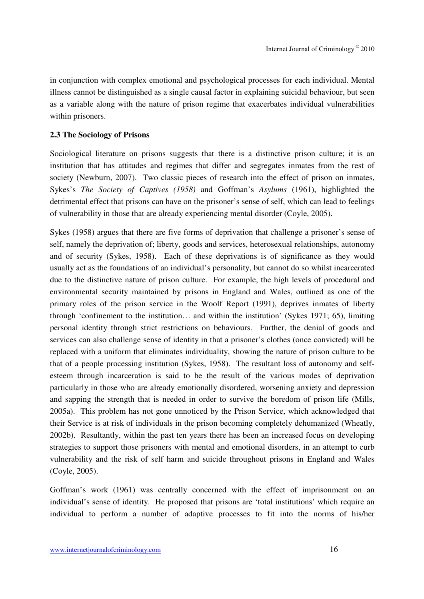in conjunction with complex emotional and psychological processes for each individual. Mental illness cannot be distinguished as a single causal factor in explaining suicidal behaviour, but seen as a variable along with the nature of prison regime that exacerbates individual vulnerabilities within prisoners.

#### **2.3 The Sociology of Prisons**

Sociological literature on prisons suggests that there is a distinctive prison culture; it is an institution that has attitudes and regimes that differ and segregates inmates from the rest of society (Newburn, 2007). Two classic pieces of research into the effect of prison on inmates, Sykes's *The Society of Captives (1958)* and Goffman's *Asylums* (1961), highlighted the detrimental effect that prisons can have on the prisoner's sense of self, which can lead to feelings of vulnerability in those that are already experiencing mental disorder (Coyle, 2005).

Sykes (1958) argues that there are five forms of deprivation that challenge a prisoner's sense of self, namely the deprivation of; liberty, goods and services, heterosexual relationships, autonomy and of security (Sykes, 1958). Each of these deprivations is of significance as they would usually act as the foundations of an individual's personality, but cannot do so whilst incarcerated due to the distinctive nature of prison culture. For example, the high levels of procedural and environmental security maintained by prisons in England and Wales, outlined as one of the primary roles of the prison service in the Woolf Report (1991), deprives inmates of liberty through 'confinement to the institution… and within the institution' (Sykes 1971; 65), limiting personal identity through strict restrictions on behaviours. Further, the denial of goods and services can also challenge sense of identity in that a prisoner's clothes (once convicted) will be replaced with a uniform that eliminates individuality, showing the nature of prison culture to be that of a people processing institution (Sykes, 1958). The resultant loss of autonomy and selfesteem through incarceration is said to be the result of the various modes of deprivation particularly in those who are already emotionally disordered, worsening anxiety and depression and sapping the strength that is needed in order to survive the boredom of prison life (Mills, 2005a). This problem has not gone unnoticed by the Prison Service, which acknowledged that their Service is at risk of individuals in the prison becoming completely dehumanized (Wheatly, 2002b). Resultantly, within the past ten years there has been an increased focus on developing strategies to support those prisoners with mental and emotional disorders, in an attempt to curb vulnerability and the risk of self harm and suicide throughout prisons in England and Wales (Coyle, 2005).

Goffman's work (1961) was centrally concerned with the effect of imprisonment on an individual's sense of identity. He proposed that prisons are 'total institutions' which require an individual to perform a number of adaptive processes to fit into the norms of his/her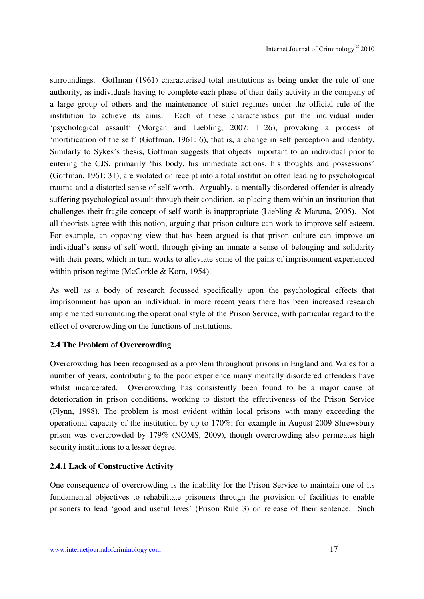surroundings. Goffman (1961) characterised total institutions as being under the rule of one authority, as individuals having to complete each phase of their daily activity in the company of a large group of others and the maintenance of strict regimes under the official rule of the institution to achieve its aims. Each of these characteristics put the individual under 'psychological assault' (Morgan and Liebling, 2007: 1126), provoking a process of 'mortification of the self' (Goffman, 1961: 6), that is, a change in self perception and identity. Similarly to Sykes's thesis, Goffman suggests that objects important to an individual prior to entering the CJS, primarily 'his body, his immediate actions, his thoughts and possessions' (Goffman, 1961: 31), are violated on receipt into a total institution often leading to psychological trauma and a distorted sense of self worth. Arguably, a mentally disordered offender is already suffering psychological assault through their condition, so placing them within an institution that challenges their fragile concept of self worth is inappropriate (Liebling & Maruna, 2005). Not all theorists agree with this notion, arguing that prison culture can work to improve self-esteem. For example, an opposing view that has been argued is that prison culture can improve an individual's sense of self worth through giving an inmate a sense of belonging and solidarity with their peers, which in turn works to alleviate some of the pains of imprisonment experienced within prison regime (McCorkle & Korn, 1954).

As well as a body of research focussed specifically upon the psychological effects that imprisonment has upon an individual, in more recent years there has been increased research implemented surrounding the operational style of the Prison Service, with particular regard to the effect of overcrowding on the functions of institutions.

## **2.4 The Problem of Overcrowding**

Overcrowding has been recognised as a problem throughout prisons in England and Wales for a number of years, contributing to the poor experience many mentally disordered offenders have whilst incarcerated. Overcrowding has consistently been found to be a major cause of deterioration in prison conditions, working to distort the effectiveness of the Prison Service (Flynn, 1998). The problem is most evident within local prisons with many exceeding the operational capacity of the institution by up to 170%; for example in August 2009 Shrewsbury prison was overcrowded by 179% (NOMS, 2009), though overcrowding also permeates high security institutions to a lesser degree.

#### **2.4.1 Lack of Constructive Activity**

One consequence of overcrowding is the inability for the Prison Service to maintain one of its fundamental objectives to rehabilitate prisoners through the provision of facilities to enable prisoners to lead 'good and useful lives' (Prison Rule 3) on release of their sentence. Such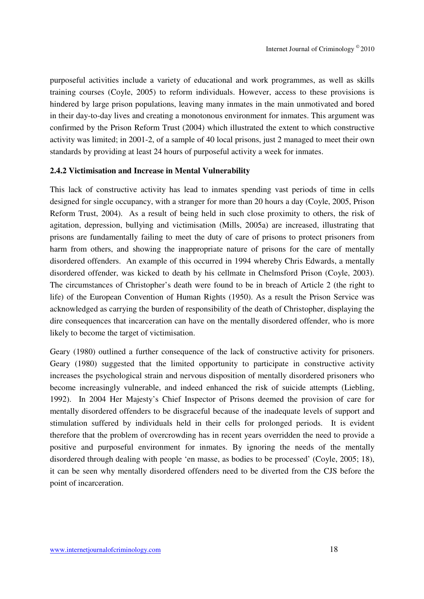purposeful activities include a variety of educational and work programmes, as well as skills training courses (Coyle, 2005) to reform individuals. However, access to these provisions is hindered by large prison populations, leaving many inmates in the main unmotivated and bored in their day-to-day lives and creating a monotonous environment for inmates. This argument was confirmed by the Prison Reform Trust (2004) which illustrated the extent to which constructive activity was limited; in 2001-2, of a sample of 40 local prisons, just 2 managed to meet their own standards by providing at least 24 hours of purposeful activity a week for inmates.

#### **2.4.2 Victimisation and Increase in Mental Vulnerability**

This lack of constructive activity has lead to inmates spending vast periods of time in cells designed for single occupancy, with a stranger for more than 20 hours a day (Coyle, 2005, Prison Reform Trust, 2004). As a result of being held in such close proximity to others, the risk of agitation, depression, bullying and victimisation (Mills, 2005a) are increased, illustrating that prisons are fundamentally failing to meet the duty of care of prisons to protect prisoners from harm from others, and showing the inappropriate nature of prisons for the care of mentally disordered offenders. An example of this occurred in 1994 whereby Chris Edwards, a mentally disordered offender, was kicked to death by his cellmate in Chelmsford Prison (Coyle, 2003). The circumstances of Christopher's death were found to be in breach of Article 2 (the right to life) of the European Convention of Human Rights (1950). As a result the Prison Service was acknowledged as carrying the burden of responsibility of the death of Christopher, displaying the dire consequences that incarceration can have on the mentally disordered offender, who is more likely to become the target of victimisation.

Geary (1980) outlined a further consequence of the lack of constructive activity for prisoners. Geary (1980) suggested that the limited opportunity to participate in constructive activity increases the psychological strain and nervous disposition of mentally disordered prisoners who become increasingly vulnerable, and indeed enhanced the risk of suicide attempts (Liebling, 1992). In 2004 Her Majesty's Chief Inspector of Prisons deemed the provision of care for mentally disordered offenders to be disgraceful because of the inadequate levels of support and stimulation suffered by individuals held in their cells for prolonged periods. It is evident therefore that the problem of overcrowding has in recent years overridden the need to provide a positive and purposeful environment for inmates. By ignoring the needs of the mentally disordered through dealing with people 'en masse, as bodies to be processed' (Coyle, 2005; 18), it can be seen why mentally disordered offenders need to be diverted from the CJS before the point of incarceration.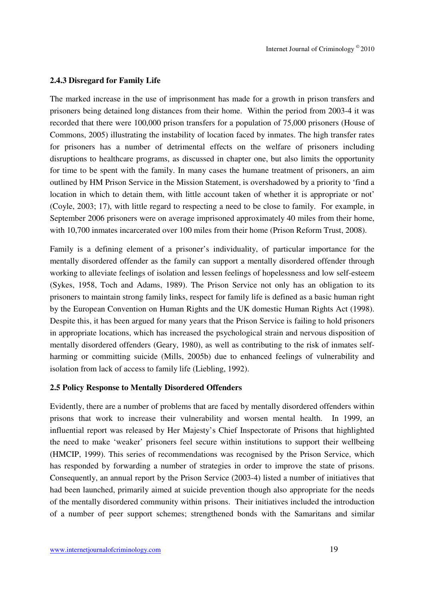#### **2.4.3 Disregard for Family Life**

The marked increase in the use of imprisonment has made for a growth in prison transfers and prisoners being detained long distances from their home. Within the period from 2003-4 it was recorded that there were 100,000 prison transfers for a population of 75,000 prisoners (House of Commons, 2005) illustrating the instability of location faced by inmates. The high transfer rates for prisoners has a number of detrimental effects on the welfare of prisoners including disruptions to healthcare programs, as discussed in chapter one, but also limits the opportunity for time to be spent with the family. In many cases the humane treatment of prisoners, an aim outlined by HM Prison Service in the Mission Statement, is overshadowed by a priority to 'find a location in which to detain them, with little account taken of whether it is appropriate or not' (Coyle, 2003; 17), with little regard to respecting a need to be close to family. For example, in September 2006 prisoners were on average imprisoned approximately 40 miles from their home, with 10,700 inmates incarcerated over 100 miles from their home (Prison Reform Trust, 2008).

Family is a defining element of a prisoner's individuality, of particular importance for the mentally disordered offender as the family can support a mentally disordered offender through working to alleviate feelings of isolation and lessen feelings of hopelessness and low self-esteem (Sykes, 1958, Toch and Adams, 1989). The Prison Service not only has an obligation to its prisoners to maintain strong family links, respect for family life is defined as a basic human right by the European Convention on Human Rights and the UK domestic Human Rights Act (1998). Despite this, it has been argued for many years that the Prison Service is failing to hold prisoners in appropriate locations, which has increased the psychological strain and nervous disposition of mentally disordered offenders (Geary, 1980), as well as contributing to the risk of inmates selfharming or committing suicide (Mills, 2005b) due to enhanced feelings of vulnerability and isolation from lack of access to family life (Liebling, 1992).

#### **2.5 Policy Response to Mentally Disordered Offenders**

Evidently, there are a number of problems that are faced by mentally disordered offenders within prisons that work to increase their vulnerability and worsen mental health. In 1999, an influential report was released by Her Majesty's Chief Inspectorate of Prisons that highlighted the need to make 'weaker' prisoners feel secure within institutions to support their wellbeing (HMCIP, 1999). This series of recommendations was recognised by the Prison Service, which has responded by forwarding a number of strategies in order to improve the state of prisons. Consequently, an annual report by the Prison Service (2003-4) listed a number of initiatives that had been launched, primarily aimed at suicide prevention though also appropriate for the needs of the mentally disordered community within prisons. Their initiatives included the introduction of a number of peer support schemes; strengthened bonds with the Samaritans and similar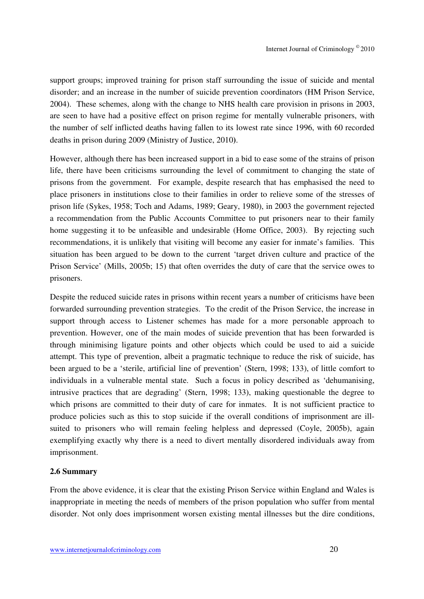support groups; improved training for prison staff surrounding the issue of suicide and mental disorder; and an increase in the number of suicide prevention coordinators (HM Prison Service, 2004). These schemes, along with the change to NHS health care provision in prisons in 2003, are seen to have had a positive effect on prison regime for mentally vulnerable prisoners, with the number of self inflicted deaths having fallen to its lowest rate since 1996, with 60 recorded deaths in prison during 2009 (Ministry of Justice, 2010**)**.

However, although there has been increased support in a bid to ease some of the strains of prison life, there have been criticisms surrounding the level of commitment to changing the state of prisons from the government. For example, despite research that has emphasised the need to place prisoners in institutions close to their families in order to relieve some of the stresses of prison life (Sykes, 1958; Toch and Adams, 1989; Geary, 1980), in 2003 the government rejected a recommendation from the Public Accounts Committee to put prisoners near to their family home suggesting it to be unfeasible and undesirable (Home Office, 2003). By rejecting such recommendations, it is unlikely that visiting will become any easier for inmate's families. This situation has been argued to be down to the current 'target driven culture and practice of the Prison Service' (Mills, 2005b; 15) that often overrides the duty of care that the service owes to prisoners.

Despite the reduced suicide rates in prisons within recent years a number of criticisms have been forwarded surrounding prevention strategies. To the credit of the Prison Service, the increase in support through access to Listener schemes has made for a more personable approach to prevention. However, one of the main modes of suicide prevention that has been forwarded is through minimising ligature points and other objects which could be used to aid a suicide attempt. This type of prevention, albeit a pragmatic technique to reduce the risk of suicide, has been argued to be a 'sterile, artificial line of prevention' (Stern, 1998; 133), of little comfort to individuals in a vulnerable mental state. Such a focus in policy described as 'dehumanising, intrusive practices that are degrading' (Stern, 1998; 133), making questionable the degree to which prisons are committed to their duty of care for inmates. It is not sufficient practice to produce policies such as this to stop suicide if the overall conditions of imprisonment are illsuited to prisoners who will remain feeling helpless and depressed (Coyle, 2005b), again exemplifying exactly why there is a need to divert mentally disordered individuals away from imprisonment.

#### **2.6 Summary**

From the above evidence, it is clear that the existing Prison Service within England and Wales is inappropriate in meeting the needs of members of the prison population who suffer from mental disorder. Not only does imprisonment worsen existing mental illnesses but the dire conditions,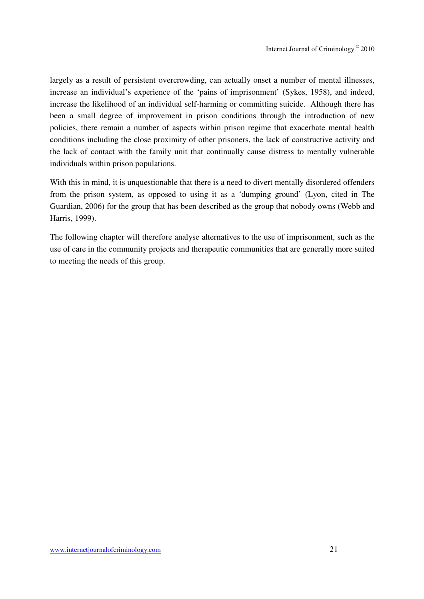largely as a result of persistent overcrowding, can actually onset a number of mental illnesses, increase an individual's experience of the 'pains of imprisonment' (Sykes, 1958), and indeed, increase the likelihood of an individual self-harming or committing suicide. Although there has been a small degree of improvement in prison conditions through the introduction of new policies, there remain a number of aspects within prison regime that exacerbate mental health conditions including the close proximity of other prisoners, the lack of constructive activity and the lack of contact with the family unit that continually cause distress to mentally vulnerable individuals within prison populations.

With this in mind, it is unquestionable that there is a need to divert mentally disordered offenders from the prison system, as opposed to using it as a 'dumping ground' (Lyon, cited in The Guardian, 2006) for the group that has been described as the group that nobody owns (Webb and Harris, 1999).

The following chapter will therefore analyse alternatives to the use of imprisonment, such as the use of care in the community projects and therapeutic communities that are generally more suited to meeting the needs of this group.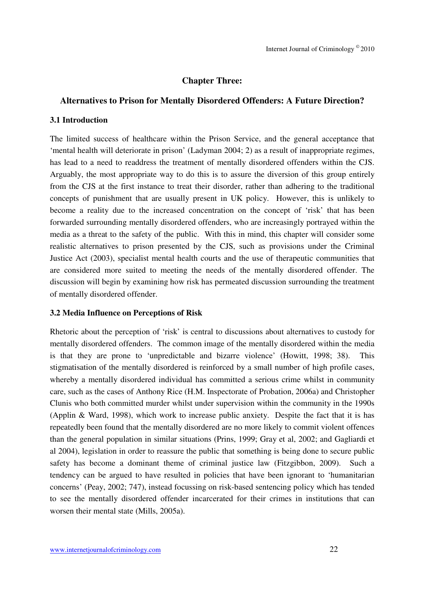#### **Chapter Three:**

#### **Alternatives to Prison for Mentally Disordered Offenders: A Future Direction?**

#### **3.1 Introduction**

The limited success of healthcare within the Prison Service, and the general acceptance that 'mental health will deteriorate in prison' (Ladyman 2004; 2) as a result of inappropriate regimes, has lead to a need to readdress the treatment of mentally disordered offenders within the CJS. Arguably, the most appropriate way to do this is to assure the diversion of this group entirely from the CJS at the first instance to treat their disorder, rather than adhering to the traditional concepts of punishment that are usually present in UK policy. However, this is unlikely to become a reality due to the increased concentration on the concept of 'risk' that has been forwarded surrounding mentally disordered offenders, who are increasingly portrayed within the media as a threat to the safety of the public. With this in mind, this chapter will consider some realistic alternatives to prison presented by the CJS, such as provisions under the Criminal Justice Act (2003), specialist mental health courts and the use of therapeutic communities that are considered more suited to meeting the needs of the mentally disordered offender. The discussion will begin by examining how risk has permeated discussion surrounding the treatment of mentally disordered offender.

#### **3.2 Media Influence on Perceptions of Risk**

Rhetoric about the perception of 'risk' is central to discussions about alternatives to custody for mentally disordered offenders. The common image of the mentally disordered within the media is that they are prone to 'unpredictable and bizarre violence' (Howitt, 1998; 38). This stigmatisation of the mentally disordered is reinforced by a small number of high profile cases, whereby a mentally disordered individual has committed a serious crime whilst in community care, such as the cases of Anthony Rice (H.M. Inspectorate of Probation, 2006a) and Christopher Clunis who both committed murder whilst under supervision within the community in the 1990s (Applin & Ward, 1998), which work to increase public anxiety. Despite the fact that it is has repeatedly been found that the mentally disordered are no more likely to commit violent offences than the general population in similar situations (Prins, 1999; Gray et al, 2002; and Gagliardi et al 2004), legislation in order to reassure the public that something is being done to secure public safety has become a dominant theme of criminal justice law (Fitzgibbon, 2009). Such a tendency can be argued to have resulted in policies that have been ignorant to 'humanitarian concerns' (Peay, 2002; 747), instead focussing on risk-based sentencing policy which has tended to see the mentally disordered offender incarcerated for their crimes in institutions that can worsen their mental state (Mills, 2005a).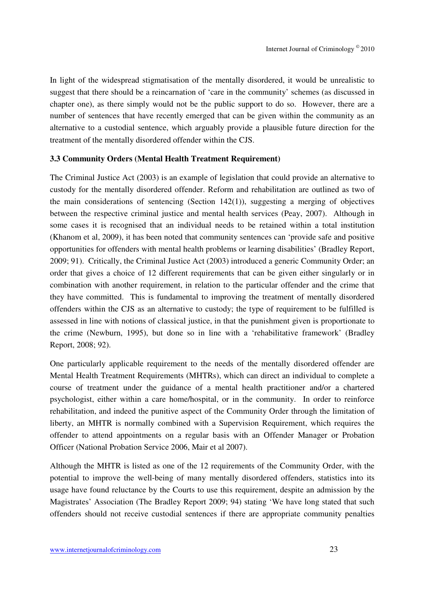In light of the widespread stigmatisation of the mentally disordered, it would be unrealistic to suggest that there should be a reincarnation of 'care in the community' schemes (as discussed in chapter one), as there simply would not be the public support to do so. However, there are a number of sentences that have recently emerged that can be given within the community as an alternative to a custodial sentence, which arguably provide a plausible future direction for the treatment of the mentally disordered offender within the CJS.

#### **3.3 Community Orders (Mental Health Treatment Requirement)**

The Criminal Justice Act (2003) is an example of legislation that could provide an alternative to custody for the mentally disordered offender. Reform and rehabilitation are outlined as two of the main considerations of sentencing (Section  $142(1)$ ), suggesting a merging of objectives between the respective criminal justice and mental health services (Peay, 2007). Although in some cases it is recognised that an individual needs to be retained within a total institution (Khanom et al, 2009), it has been noted that community sentences can 'provide safe and positive opportunities for offenders with mental health problems or learning disabilities' (Bradley Report, 2009; 91). Critically, the Criminal Justice Act (2003) introduced a generic Community Order; an order that gives a choice of 12 different requirements that can be given either singularly or in combination with another requirement, in relation to the particular offender and the crime that they have committed. This is fundamental to improving the treatment of mentally disordered offenders within the CJS as an alternative to custody; the type of requirement to be fulfilled is assessed in line with notions of classical justice, in that the punishment given is proportionate to the crime (Newburn, 1995), but done so in line with a 'rehabilitative framework' (Bradley Report, 2008; 92).

One particularly applicable requirement to the needs of the mentally disordered offender are Mental Health Treatment Requirements (MHTRs), which can direct an individual to complete a course of treatment under the guidance of a mental health practitioner and/or a chartered psychologist, either within a care home/hospital, or in the community. In order to reinforce rehabilitation, and indeed the punitive aspect of the Community Order through the limitation of liberty, an MHTR is normally combined with a Supervision Requirement, which requires the offender to attend appointments on a regular basis with an Offender Manager or Probation Officer (National Probation Service 2006, Mair et al 2007).

Although the MHTR is listed as one of the 12 requirements of the Community Order, with the potential to improve the well-being of many mentally disordered offenders, statistics into its usage have found reluctance by the Courts to use this requirement, despite an admission by the Magistrates' Association (The Bradley Report 2009; 94) stating 'We have long stated that such offenders should not receive custodial sentences if there are appropriate community penalties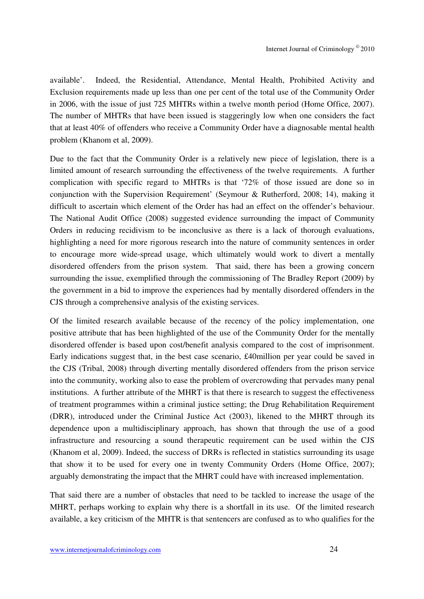available'. Indeed, the Residential, Attendance, Mental Health, Prohibited Activity and Exclusion requirements made up less than one per cent of the total use of the Community Order in 2006, with the issue of just 725 MHTRs within a twelve month period (Home Office, 2007). The number of MHTRs that have been issued is staggeringly low when one considers the fact that at least 40% of offenders who receive a Community Order have a diagnosable mental health problem (Khanom et al, 2009).

Due to the fact that the Community Order is a relatively new piece of legislation, there is a limited amount of research surrounding the effectiveness of the twelve requirements. A further complication with specific regard to MHTRs is that '72% of those issued are done so in conjunction with the Supervision Requirement' (Seymour & Rutherford, 2008; 14), making it difficult to ascertain which element of the Order has had an effect on the offender's behaviour. The National Audit Office (2008) suggested evidence surrounding the impact of Community Orders in reducing recidivism to be inconclusive as there is a lack of thorough evaluations, highlighting a need for more rigorous research into the nature of community sentences in order to encourage more wide-spread usage, which ultimately would work to divert a mentally disordered offenders from the prison system. That said, there has been a growing concern surrounding the issue, exemplified through the commissioning of The Bradley Report (2009) by the government in a bid to improve the experiences had by mentally disordered offenders in the CJS through a comprehensive analysis of the existing services.

Of the limited research available because of the recency of the policy implementation, one positive attribute that has been highlighted of the use of the Community Order for the mentally disordered offender is based upon cost/benefit analysis compared to the cost of imprisonment. Early indications suggest that, in the best case scenario, £40million per year could be saved in the CJS (Tribal, 2008) through diverting mentally disordered offenders from the prison service into the community, working also to ease the problem of overcrowding that pervades many penal institutions. A further attribute of the MHRT is that there is research to suggest the effectiveness of treatment programmes within a criminal justice setting; the Drug Rehabilitation Requirement (DRR), introduced under the Criminal Justice Act (2003), likened to the MHRT through its dependence upon a multidisciplinary approach, has shown that through the use of a good infrastructure and resourcing a sound therapeutic requirement can be used within the CJS (Khanom et al, 2009). Indeed, the success of DRRs is reflected in statistics surrounding its usage that show it to be used for every one in twenty Community Orders (Home Office, 2007); arguably demonstrating the impact that the MHRT could have with increased implementation.

That said there are a number of obstacles that need to be tackled to increase the usage of the MHRT, perhaps working to explain why there is a shortfall in its use. Of the limited research available, a key criticism of the MHTR is that sentencers are confused as to who qualifies for the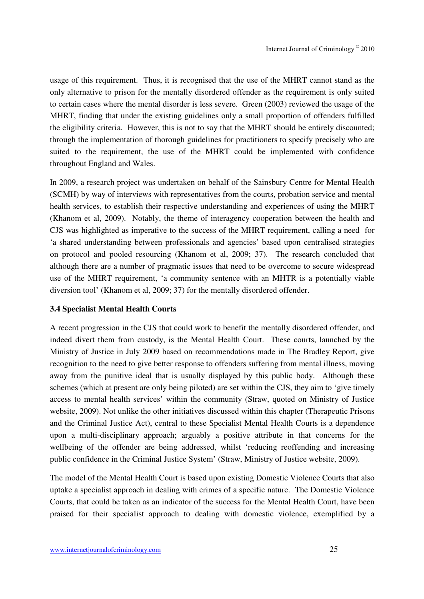usage of this requirement. Thus, it is recognised that the use of the MHRT cannot stand as the only alternative to prison for the mentally disordered offender as the requirement is only suited to certain cases where the mental disorder is less severe. Green (2003) reviewed the usage of the MHRT, finding that under the existing guidelines only a small proportion of offenders fulfilled the eligibility criteria. However, this is not to say that the MHRT should be entirely discounted; through the implementation of thorough guidelines for practitioners to specify precisely who are suited to the requirement, the use of the MHRT could be implemented with confidence throughout England and Wales.

In 2009, a research project was undertaken on behalf of the Sainsbury Centre for Mental Health (SCMH) by way of interviews with representatives from the courts, probation service and mental health services, to establish their respective understanding and experiences of using the MHRT (Khanom et al, 2009). Notably, the theme of interagency cooperation between the health and CJS was highlighted as imperative to the success of the MHRT requirement, calling a need for 'a shared understanding between professionals and agencies' based upon centralised strategies on protocol and pooled resourcing (Khanom et al, 2009; 37). The research concluded that although there are a number of pragmatic issues that need to be overcome to secure widespread use of the MHRT requirement, 'a community sentence with an MHTR is a potentially viable diversion tool' (Khanom et al, 2009; 37) for the mentally disordered offender.

#### **3.4 Specialist Mental Health Courts**

A recent progression in the CJS that could work to benefit the mentally disordered offender, and indeed divert them from custody, is the Mental Health Court. These courts, launched by the Ministry of Justice in July 2009 based on recommendations made in The Bradley Report, give recognition to the need to give better response to offenders suffering from mental illness, moving away from the punitive ideal that is usually displayed by this public body. Although these schemes (which at present are only being piloted) are set within the CJS, they aim to 'give timely access to mental health services' within the community (Straw, quoted on Ministry of Justice website, 2009). Not unlike the other initiatives discussed within this chapter (Therapeutic Prisons and the Criminal Justice Act), central to these Specialist Mental Health Courts is a dependence upon a multi-disciplinary approach; arguably a positive attribute in that concerns for the wellbeing of the offender are being addressed, whilst 'reducing reoffending and increasing public confidence in the Criminal Justice System' (Straw, Ministry of Justice website, 2009).

The model of the Mental Health Court is based upon existing Domestic Violence Courts that also uptake a specialist approach in dealing with crimes of a specific nature. The Domestic Violence Courts, that could be taken as an indicator of the success for the Mental Health Court, have been praised for their specialist approach to dealing with domestic violence, exemplified by a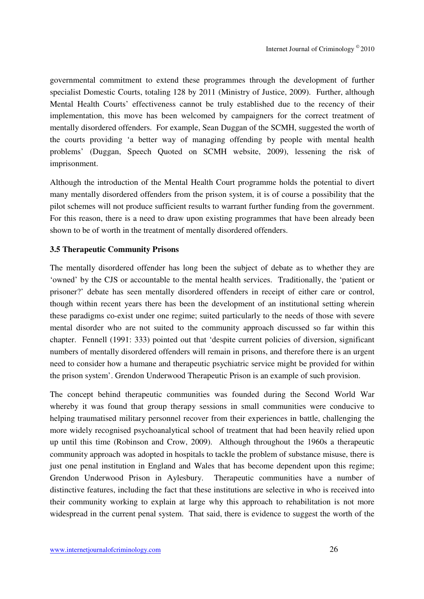governmental commitment to extend these programmes through the development of further specialist Domestic Courts, totaling 128 by 2011 (Ministry of Justice, 2009). Further, although Mental Health Courts' effectiveness cannot be truly established due to the recency of their implementation, this move has been welcomed by campaigners for the correct treatment of mentally disordered offenders. For example, Sean Duggan of the SCMH, suggested the worth of the courts providing 'a better way of managing offending by people with mental health problems' (Duggan, Speech Quoted on SCMH website, 2009), lessening the risk of imprisonment.

Although the introduction of the Mental Health Court programme holds the potential to divert many mentally disordered offenders from the prison system, it is of course a possibility that the pilot schemes will not produce sufficient results to warrant further funding from the government. For this reason, there is a need to draw upon existing programmes that have been already been shown to be of worth in the treatment of mentally disordered offenders.

#### **3.5 Therapeutic Community Prisons**

The mentally disordered offender has long been the subject of debate as to whether they are 'owned' by the CJS or accountable to the mental health services. Traditionally, the 'patient or prisoner?' debate has seen mentally disordered offenders in receipt of either care or control, though within recent years there has been the development of an institutional setting wherein these paradigms co-exist under one regime; suited particularly to the needs of those with severe mental disorder who are not suited to the community approach discussed so far within this chapter. Fennell (1991: 333) pointed out that 'despite current policies of diversion, significant numbers of mentally disordered offenders will remain in prisons, and therefore there is an urgent need to consider how a humane and therapeutic psychiatric service might be provided for within the prison system'. Grendon Underwood Therapeutic Prison is an example of such provision.

The concept behind therapeutic communities was founded during the Second World War whereby it was found that group therapy sessions in small communities were conducive to helping traumatised military personnel recover from their experiences in battle, challenging the more widely recognised psychoanalytical school of treatment that had been heavily relied upon up until this time (Robinson and Crow, 2009). Although throughout the 1960s a therapeutic community approach was adopted in hospitals to tackle the problem of substance misuse, there is just one penal institution in England and Wales that has become dependent upon this regime; Grendon Underwood Prison in Aylesbury. Therapeutic communities have a number of distinctive features, including the fact that these institutions are selective in who is received into their community working to explain at large why this approach to rehabilitation is not more widespread in the current penal system. That said, there is evidence to suggest the worth of the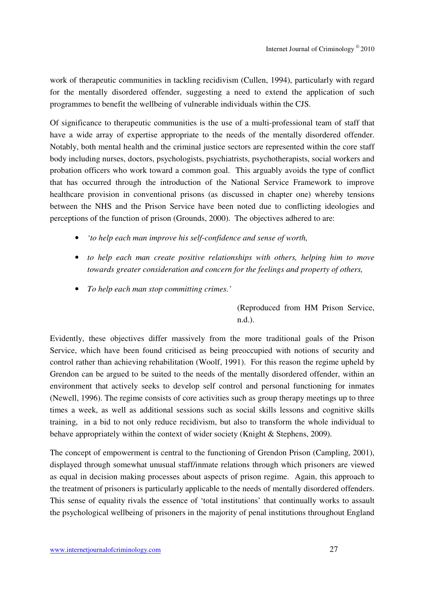work of therapeutic communities in tackling recidivism (Cullen, 1994), particularly with regard for the mentally disordered offender, suggesting a need to extend the application of such programmes to benefit the wellbeing of vulnerable individuals within the CJS.

Of significance to therapeutic communities is the use of a multi-professional team of staff that have a wide array of expertise appropriate to the needs of the mentally disordered offender. Notably, both mental health and the criminal justice sectors are represented within the core staff body including nurses, doctors, psychologists, psychiatrists, psychotherapists, social workers and probation officers who work toward a common goal. This arguably avoids the type of conflict that has occurred through the introduction of the National Service Framework to improve healthcare provision in conventional prisons (as discussed in chapter one) whereby tensions between the NHS and the Prison Service have been noted due to conflicting ideologies and perceptions of the function of prison (Grounds, 2000). The objectives adhered to are:

- *'to help each man improve his self-confidence and sense of worth,*
- *to help each man create positive relationships with others, helping him to move towards greater consideration and concern for the feelings and property of others,*
- *To help each man stop committing crimes.'*

(Reproduced from HM Prison Service, n.d.).

Evidently, these objectives differ massively from the more traditional goals of the Prison Service, which have been found criticised as being preoccupied with notions of security and control rather than achieving rehabilitation (Woolf, 1991). For this reason the regime upheld by Grendon can be argued to be suited to the needs of the mentally disordered offender, within an environment that actively seeks to develop self control and personal functioning for inmates (Newell, 1996). The regime consists of core activities such as group therapy meetings up to three times a week, as well as additional sessions such as social skills lessons and cognitive skills training, in a bid to not only reduce recidivism, but also to transform the whole individual to behave appropriately within the context of wider society (Knight & Stephens, 2009).

The concept of empowerment is central to the functioning of Grendon Prison (Campling, 2001), displayed through somewhat unusual staff/inmate relations through which prisoners are viewed as equal in decision making processes about aspects of prison regime. Again, this approach to the treatment of prisoners is particularly applicable to the needs of mentally disordered offenders. This sense of equality rivals the essence of 'total institutions' that continually works to assault the psychological wellbeing of prisoners in the majority of penal institutions throughout England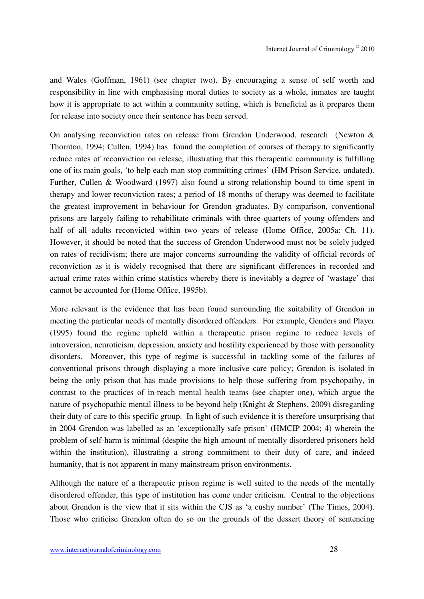and Wales (Goffman, 1961) (see chapter two). By encouraging a sense of self worth and responsibility in line with emphasising moral duties to society as a whole, inmates are taught how it is appropriate to act within a community setting, which is beneficial as it prepares them for release into society once their sentence has been served.

On analysing reconviction rates on release from Grendon Underwood, research (Newton & Thornton, 1994; Cullen, 1994) has found the completion of courses of therapy to significantly reduce rates of reconviction on release, illustrating that this therapeutic community is fulfilling one of its main goals, 'to help each man stop committing crimes' (HM Prison Service, undated). Further, Cullen & Woodward (1997) also found a strong relationship bound to time spent in therapy and lower reconviction rates; a period of 18 months of therapy was deemed to facilitate the greatest improvement in behaviour for Grendon graduates. By comparison, conventional prisons are largely failing to rehabilitate criminals with three quarters of young offenders and half of all adults reconvicted within two years of release (Home Office, 2005a: Ch. 11). However, it should be noted that the success of Grendon Underwood must not be solely judged on rates of recidivism; there are major concerns surrounding the validity of official records of reconviction as it is widely recognised that there are significant differences in recorded and actual crime rates within crime statistics whereby there is inevitably a degree of 'wastage' that cannot be accounted for (Home Office, 1995b).

More relevant is the evidence that has been found surrounding the suitability of Grendon in meeting the particular needs of mentally disordered offenders. For example, Genders and Player (1995) found the regime upheld within a therapeutic prison regime to reduce levels of introversion, neuroticism, depression, anxiety and hostility experienced by those with personality disorders. Moreover, this type of regime is successful in tackling some of the failures of conventional prisons through displaying a more inclusive care policy; Grendon is isolated in being the only prison that has made provisions to help those suffering from psychopathy, in contrast to the practices of in-reach mental health teams (see chapter one), which argue the nature of psychopathic mental illness to be beyond help (Knight & Stephens, 2009) disregarding their duty of care to this specific group. In light of such evidence it is therefore unsurprising that in 2004 Grendon was labelled as an 'exceptionally safe prison' (HMCIP 2004; 4) wherein the problem of self-harm is minimal (despite the high amount of mentally disordered prisoners held within the institution), illustrating a strong commitment to their duty of care, and indeed humanity, that is not apparent in many mainstream prison environments.

Although the nature of a therapeutic prison regime is well suited to the needs of the mentally disordered offender, this type of institution has come under criticism. Central to the objections about Grendon is the view that it sits within the CJS as 'a cushy number' (The Times, 2004). Those who criticise Grendon often do so on the grounds of the dessert theory of sentencing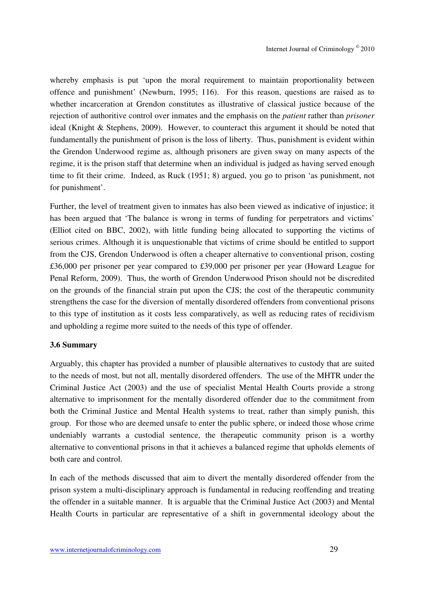whereby emphasis is put 'upon the moral requirement to maintain proportionality between offence and punishment' (Newburn, 1995; 116). For this reason, questions are raised as to whether incarceration at Grendon constitutes as illustrative of classical justice because of the rejection of authoritive control over inmates and the emphasis on the *patient* rather than *prisoner* ideal (Knight & Stephens, 2009). However, to counteract this argument it should be noted that fundamentally the punishment of prison is the loss of liberty. Thus, punishment is evident within the Grendon Underwood regime as, although prisoners are given sway on many aspects of the regime, it is the prison staff that determine when an individual is judged as having served enough time to fit their crime. Indeed, as Ruck (1951; 8) argued, you go to prison 'as punishment, not for punishment'.

Further, the level of treatment given to inmates has also been viewed as indicative of injustice; it has been argued that 'The balance is wrong in terms of funding for perpetrators and victims' (Elliot cited on BBC, 2002), with little funding being allocated to supporting the victims of serious crimes. Although it is unquestionable that victims of crime should be entitled to support from the CJS, Grendon Underwood is often a cheaper alternative to conventional prison, costing £36,000 per prisoner per year compared to £39,000 per prisoner per year (Howard League for Penal Reform, 2009). Thus, the worth of Grendon Underwood Prison should not be discredited on the grounds of the financial strain put upon the CJS; the cost of the therapeutic community strengthens the case for the diversion of mentally disordered offenders from conventional prisons to this type of institution as it costs less comparatively, as well as reducing rates of recidivism and upholding a regime more suited to the needs of this type of offender.

#### **3.6 Summary**

Arguably, this chapter has provided a number of plausible alternatives to custody that are suited to the needs of most, but not all, mentally disordered offenders. The use of the MHTR under the Criminal Justice Act (2003) and the use of specialist Mental Health Courts provide a strong alternative to imprisonment for the mentally disordered offender due to the commitment from both the Criminal Justice and Mental Health systems to treat, rather than simply punish, this group. For those who are deemed unsafe to enter the public sphere, or indeed those whose crime undeniably warrants a custodial sentence, the therapeutic community prison is a worthy alternative to conventional prisons in that it achieves a balanced regime that upholds elements of both care and control.

In each of the methods discussed that aim to divert the mentally disordered offender from the prison system a multi-disciplinary approach is fundamental in reducing reoffending and treating the offender in a suitable manner. It is arguable that the Criminal Justice Act (2003) and Mental Health Courts in particular are representative of a shift in governmental ideology about the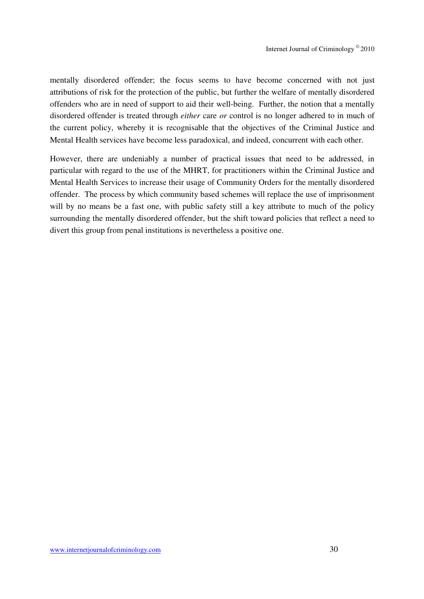mentally disordered offender; the focus seems to have become concerned with not just attributions of risk for the protection of the public, but further the welfare of mentally disordered offenders who are in need of support to aid their well-being. Further, the notion that a mentally disordered offender is treated through *either* care *or* control is no longer adhered to in much of the current policy, whereby it is recognisable that the objectives of the Criminal Justice and Mental Health services have become less paradoxical, and indeed, concurrent with each other.

However, there are undeniably a number of practical issues that need to be addressed, in particular with regard to the use of the MHRT, for practitioners within the Criminal Justice and Mental Health Services to increase their usage of Community Orders for the mentally disordered offender. The process by which community based schemes will replace the use of imprisonment will by no means be a fast one, with public safety still a key attribute to much of the policy surrounding the mentally disordered offender, but the shift toward policies that reflect a need to divert this group from penal institutions is nevertheless a positive one.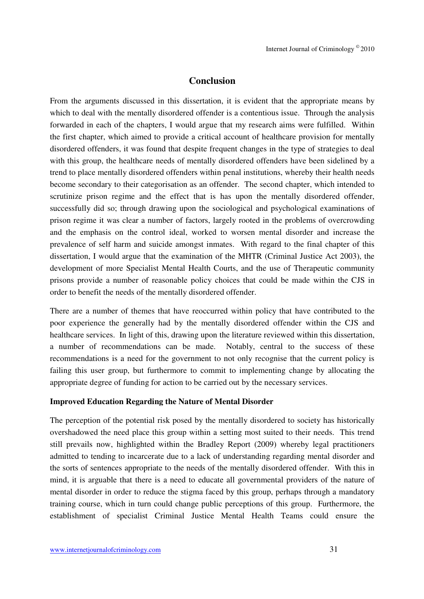### **Conclusion**

From the arguments discussed in this dissertation, it is evident that the appropriate means by which to deal with the mentally disordered offender is a contentious issue. Through the analysis forwarded in each of the chapters, I would argue that my research aims were fulfilled. Within the first chapter, which aimed to provide a critical account of healthcare provision for mentally disordered offenders, it was found that despite frequent changes in the type of strategies to deal with this group, the healthcare needs of mentally disordered offenders have been sidelined by a trend to place mentally disordered offenders within penal institutions, whereby their health needs become secondary to their categorisation as an offender. The second chapter, which intended to scrutinize prison regime and the effect that is has upon the mentally disordered offender, successfully did so; through drawing upon the sociological and psychological examinations of prison regime it was clear a number of factors, largely rooted in the problems of overcrowding and the emphasis on the control ideal, worked to worsen mental disorder and increase the prevalence of self harm and suicide amongst inmates. With regard to the final chapter of this dissertation, I would argue that the examination of the MHTR (Criminal Justice Act 2003), the development of more Specialist Mental Health Courts, and the use of Therapeutic community prisons provide a number of reasonable policy choices that could be made within the CJS in order to benefit the needs of the mentally disordered offender.

There are a number of themes that have reoccurred within policy that have contributed to the poor experience the generally had by the mentally disordered offender within the CJS and healthcare services. In light of this, drawing upon the literature reviewed within this dissertation, a number of recommendations can be made. Notably, central to the success of these recommendations is a need for the government to not only recognise that the current policy is failing this user group, but furthermore to commit to implementing change by allocating the appropriate degree of funding for action to be carried out by the necessary services.

#### **Improved Education Regarding the Nature of Mental Disorder**

The perception of the potential risk posed by the mentally disordered to society has historically overshadowed the need place this group within a setting most suited to their needs. This trend still prevails now, highlighted within the Bradley Report (2009) whereby legal practitioners admitted to tending to incarcerate due to a lack of understanding regarding mental disorder and the sorts of sentences appropriate to the needs of the mentally disordered offender. With this in mind, it is arguable that there is a need to educate all governmental providers of the nature of mental disorder in order to reduce the stigma faced by this group, perhaps through a mandatory training course, which in turn could change public perceptions of this group. Furthermore, the establishment of specialist Criminal Justice Mental Health Teams could ensure the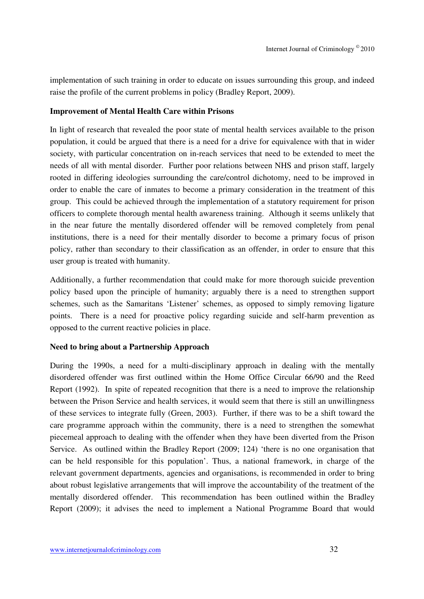implementation of such training in order to educate on issues surrounding this group, and indeed raise the profile of the current problems in policy (Bradley Report, 2009).

#### **Improvement of Mental Health Care within Prisons**

In light of research that revealed the poor state of mental health services available to the prison population, it could be argued that there is a need for a drive for equivalence with that in wider society, with particular concentration on in-reach services that need to be extended to meet the needs of all with mental disorder. Further poor relations between NHS and prison staff, largely rooted in differing ideologies surrounding the care/control dichotomy, need to be improved in order to enable the care of inmates to become a primary consideration in the treatment of this group. This could be achieved through the implementation of a statutory requirement for prison officers to complete thorough mental health awareness training. Although it seems unlikely that in the near future the mentally disordered offender will be removed completely from penal institutions, there is a need for their mentally disorder to become a primary focus of prison policy, rather than secondary to their classification as an offender, in order to ensure that this user group is treated with humanity.

Additionally, a further recommendation that could make for more thorough suicide prevention policy based upon the principle of humanity; arguably there is a need to strengthen support schemes, such as the Samaritans 'Listener' schemes, as opposed to simply removing ligature points. There is a need for proactive policy regarding suicide and self-harm prevention as opposed to the current reactive policies in place.

#### **Need to bring about a Partnership Approach**

During the 1990s, a need for a multi-disciplinary approach in dealing with the mentally disordered offender was first outlined within the Home Office Circular 66/90 and the Reed Report (1992). In spite of repeated recognition that there is a need to improve the relationship between the Prison Service and health services, it would seem that there is still an unwillingness of these services to integrate fully (Green, 2003). Further, if there was to be a shift toward the care programme approach within the community, there is a need to strengthen the somewhat piecemeal approach to dealing with the offender when they have been diverted from the Prison Service. As outlined within the Bradley Report (2009; 124) 'there is no one organisation that can be held responsible for this population'. Thus, a national framework, in charge of the relevant government departments, agencies and organisations, is recommended in order to bring about robust legislative arrangements that will improve the accountability of the treatment of the mentally disordered offender. This recommendation has been outlined within the Bradley Report (2009); it advises the need to implement a National Programme Board that would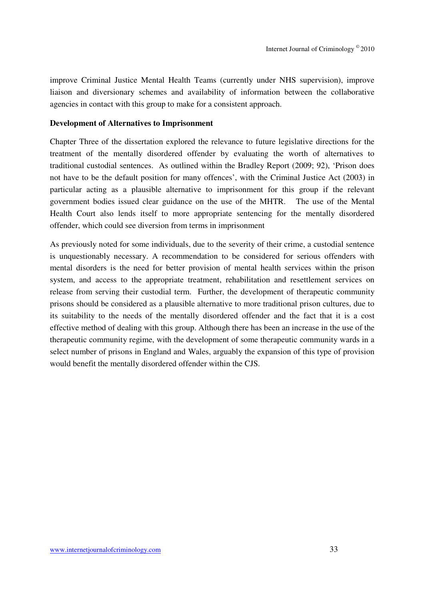improve Criminal Justice Mental Health Teams (currently under NHS supervision), improve liaison and diversionary schemes and availability of information between the collaborative agencies in contact with this group to make for a consistent approach.

#### **Development of Alternatives to Imprisonment**

Chapter Three of the dissertation explored the relevance to future legislative directions for the treatment of the mentally disordered offender by evaluating the worth of alternatives to traditional custodial sentences. As outlined within the Bradley Report (2009; 92), 'Prison does not have to be the default position for many offences', with the Criminal Justice Act (2003) in particular acting as a plausible alternative to imprisonment for this group if the relevant government bodies issued clear guidance on the use of the MHTR. The use of the Mental Health Court also lends itself to more appropriate sentencing for the mentally disordered offender, which could see diversion from terms in imprisonment

As previously noted for some individuals, due to the severity of their crime, a custodial sentence is unquestionably necessary. A recommendation to be considered for serious offenders with mental disorders is the need for better provision of mental health services within the prison system, and access to the appropriate treatment, rehabilitation and resettlement services on release from serving their custodial term. Further, the development of therapeutic community prisons should be considered as a plausible alternative to more traditional prison cultures, due to its suitability to the needs of the mentally disordered offender and the fact that it is a cost effective method of dealing with this group. Although there has been an increase in the use of the therapeutic community regime, with the development of some therapeutic community wards in a select number of prisons in England and Wales, arguably the expansion of this type of provision would benefit the mentally disordered offender within the CJS.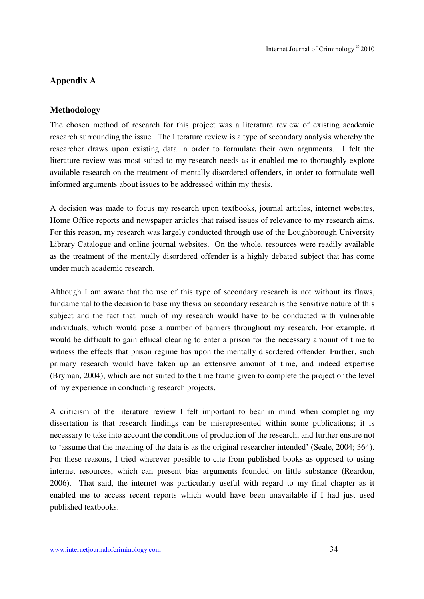## **Appendix A**

#### **Methodology**

The chosen method of research for this project was a literature review of existing academic research surrounding the issue. The literature review is a type of secondary analysis whereby the researcher draws upon existing data in order to formulate their own arguments. I felt the literature review was most suited to my research needs as it enabled me to thoroughly explore available research on the treatment of mentally disordered offenders, in order to formulate well informed arguments about issues to be addressed within my thesis.

A decision was made to focus my research upon textbooks, journal articles, internet websites, Home Office reports and newspaper articles that raised issues of relevance to my research aims. For this reason, my research was largely conducted through use of the Loughborough University Library Catalogue and online journal websites. On the whole, resources were readily available as the treatment of the mentally disordered offender is a highly debated subject that has come under much academic research.

Although I am aware that the use of this type of secondary research is not without its flaws, fundamental to the decision to base my thesis on secondary research is the sensitive nature of this subject and the fact that much of my research would have to be conducted with vulnerable individuals, which would pose a number of barriers throughout my research. For example, it would be difficult to gain ethical clearing to enter a prison for the necessary amount of time to witness the effects that prison regime has upon the mentally disordered offender. Further, such primary research would have taken up an extensive amount of time, and indeed expertise (Bryman, 2004), which are not suited to the time frame given to complete the project or the level of my experience in conducting research projects.

A criticism of the literature review I felt important to bear in mind when completing my dissertation is that research findings can be misrepresented within some publications; it is necessary to take into account the conditions of production of the research, and further ensure not to 'assume that the meaning of the data is as the original researcher intended' (Seale, 2004; 364). For these reasons, I tried wherever possible to cite from published books as opposed to using internet resources, which can present bias arguments founded on little substance (Reardon, 2006). That said, the internet was particularly useful with regard to my final chapter as it enabled me to access recent reports which would have been unavailable if I had just used published textbooks.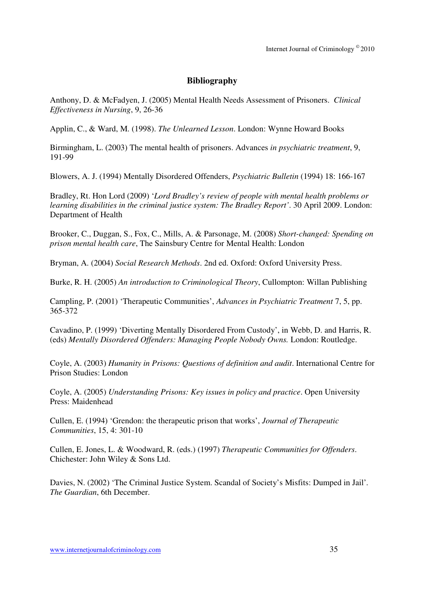## **Bibliography**

Anthony, D. & McFadyen, J. (2005) Mental Health Needs Assessment of Prisoners. *Clinical Effectiveness in Nursing*, 9, 26-36

Applin, C., & Ward, M. (1998). *The Unlearned Lesson*. London: Wynne Howard Books

Birmingham, L. (2003) The mental health of prisoners. Advances *in psychiatric treatment*, 9, 191-99

Blowers, A. J. (1994) Mentally Disordered Offenders, *Psychiatric Bulletin* (1994) 18: 166-167

Bradley, Rt. Hon Lord (2009) '*Lord Bradley's review of people with mental health problems or learning disabilities in the criminal justice system: The Bradley Report'*. 30 April 2009. London: Department of Health

Brooker, C., Duggan, S., Fox, C., Mills, A. & Parsonage, M. (2008) *Short-changed: Spending on prison mental health care*, The Sainsbury Centre for Mental Health: London

Bryman, A. (2004) *Social Research Methods*. 2nd ed. Oxford: Oxford University Press.

Burke, R. H. (2005) *An introduction to Criminological Theory*, Cullompton: Willan Publishing

Campling, P. (2001) 'Therapeutic Communities', *Advances in Psychiatric Treatment* 7, 5, pp. 365-372

Cavadino, P. (1999) 'Diverting Mentally Disordered From Custody', in Webb, D. and Harris, R. (eds) *Mentally Disordered Offenders: Managing People Nobody Owns.* London: Routledge.

Coyle, A. (2003) *Humanity in Prisons: Questions of definition and audit*. International Centre for Prison Studies: London

Coyle, A. (2005) *Understanding Prisons: Key issues in policy and practice*. Open University Press: Maidenhead

Cullen, E. (1994) 'Grendon: the therapeutic prison that works', *Journal of Therapeutic Communities*, 15, 4: 301-10

Cullen, E. Jones, L. & Woodward, R. (eds.) (1997) *Therapeutic Communities for Offenders*. Chichester: John Wiley & Sons Ltd.

Davies, N. (2002) 'The Criminal Justice System. Scandal of Society's Misfits: Dumped in Jail'*. The Guardian*, 6th December.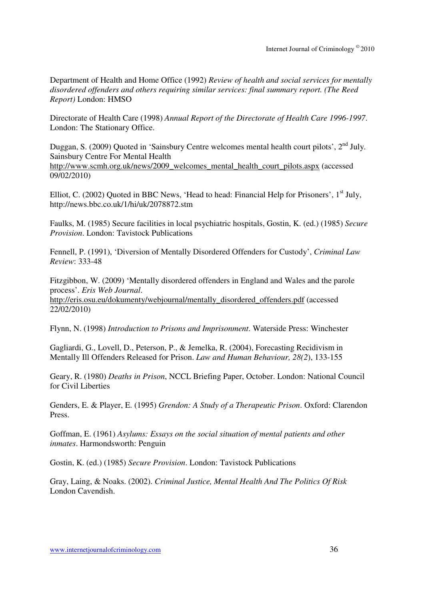Department of Health and Home Office (1992) *Review of health and social services for mentally disordered offenders and others requiring similar services: final summary report. (The Reed Report)* London: HMSO

Directorate of Health Care (1998) *Annual Report of the Directorate of Health Care 1996-1997*. London: The Stationary Office.

Duggan, S. (2009) Quoted in 'Sainsbury Centre welcomes mental health court pilots', 2<sup>nd</sup> July. Sainsbury Centre For Mental Health http://www.scmh.org.uk/news/2009\_welcomes\_mental\_health\_court\_pilots.aspx (accessed 09/02/2010)

Elliot, C. (2002) Quoted in BBC News, 'Head to head: Financial Help for Prisoners', 1<sup>st</sup> July, http://news.bbc.co.uk/1/hi/uk/2078872.stm

Faulks, M. (1985) Secure facilities in local psychiatric hospitals, Gostin, K. (ed.) (1985) *Secure Provision*. London: Tavistock Publications

Fennell, P. (1991), 'Diversion of Mentally Disordered Offenders for Custody', *Criminal Law Review*: 333-48

Fitzgibbon, W. (2009) 'Mentally disordered offenders in England and Wales and the parole process'. *Eris Web Journal*. http://eris.osu.eu/dokumenty/webjournal/mentally\_disordered\_offenders.pdf (accessed 22/02/2010)

Flynn, N. (1998) *Introduction to Prisons and Imprisonment*. Waterside Press: Winchester

Gagliardi, G., Lovell, D., Peterson, P., & Jemelka, R. (2004), Forecasting Recidivism in Mentally Ill Offenders Released for Prison. *Law and Human Behaviour, 28(2*), 133-155

Geary, R. (1980) *Deaths in Prison*, NCCL Briefing Paper, October. London: National Council for Civil Liberties

Genders, E. & Player, E. (1995) *Grendon: A Study of a Therapeutic Prison*. Oxford: Clarendon Press.

Goffman, E. (1961) *Asylums: Essays on the social situation of mental patients and other inmates*. Harmondsworth: Penguin

Gostin, K. (ed.) (1985) *Secure Provision*. London: Tavistock Publications

Gray, Laing, & Noaks. (2002). *Criminal Justice, Mental Health And The Politics Of Risk*  London Cavendish.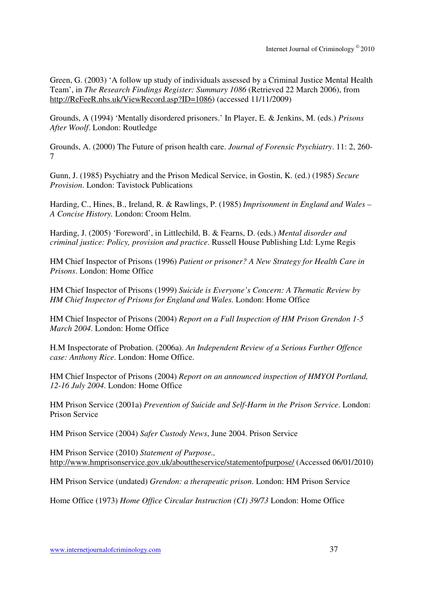Green, G. (2003) 'A follow up study of individuals assessed by a Criminal Justice Mental Health Team', in *The Research Findings Register: Summary 1086* (Retrieved 22 March 2006), from http://ReFeeR.nhs.uk/ViewRecord.asp?ID=1086) (accessed 11/11/2009)

Grounds, A (1994) 'Mentally disordered prisoners.' In Player, E. & Jenkins, M. (eds.) *Prisons After Woolf*. London: Routledge

Grounds, A. (2000) The Future of prison health care. *Journal of Forensic Psychiatry*. 11: 2, 260- 7

Gunn, J. (1985) Psychiatry and the Prison Medical Service, in Gostin, K. (ed.) (1985) *Secure Provision*. London: Tavistock Publications

Harding, C., Hines, B., Ireland, R. & Rawlings, P. (1985) *Imprisonment in England and Wales – A Concise History.* London: Croom Helm.

Harding, J. (2005) 'Foreword', in Littlechild, B. & Fearns, D. (eds.) *Mental disorder and criminal justice: Policy, provision and practice*. Russell House Publishing Ltd: Lyme Regis

HM Chief Inspector of Prisons (1996) *Patient or prisoner? A New Strategy for Health Care in Prisons*. London: Home Office

HM Chief Inspector of Prisons (1999) *Suicide is Everyone's Concern: A Thematic Review by HM Chief Inspector of Prisons for England and Wales.* London: Home Office

HM Chief Inspector of Prisons (2004) *Report on a Full Inspection of HM Prison Grendon 1-5 March 2004*. London: Home Office

H.M Inspectorate of Probation. (2006a). *An Independent Review of a Serious Further Offence case: Anthony Rice*. London: Home Office.

HM Chief Inspector of Prisons (2004) *Report on an announced inspection of HMYOI Portland, 12-16 July 2004*. London: Home Office

HM Prison Service (2001a) *Prevention of Suicide and Self-Harm in the Prison Service*. London: Prison Service

HM Prison Service (2004) *Safer Custody News*, June 2004. Prison Service

HM Prison Service (2010) *Statement of Purpose.,* http://www.hmprisonservice.gov.uk/abouttheservice/statementofpurpose/ (Accessed 06/01/2010)

HM Prison Service (undated) *Grendon: a therapeutic prison*. London: HM Prison Service

Home Office (1973) *Home Office Circular Instruction (CI) 39/73* London: Home Office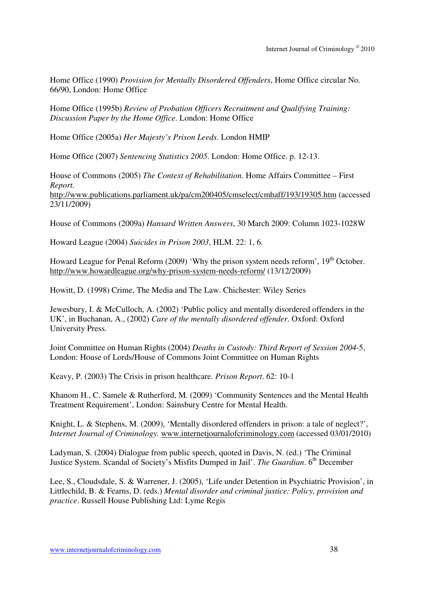Home Office (1990) *Provision for Mentally Disordered Offenders*, Home Office circular No. 66/90, London: Home Office

Home Office (1995b) *Review of Probation Officers Recruitment and Qualifying Training: Discussion Paper by the Home Office*. London: Home Office

Home Office (2005a) *Her Majesty's Prison Leeds*. London HMIP

Home Office (2007) *Sentencing Statistics 2005*. London: Home Office. p. 12-13.

House of Commons (2005) *The Context of Rehabilitation.* Home Affairs Committee – First *Report.*  http://www.publications.parliament.uk/pa/cm200405/cmselect/cmhaff/193/19305.htm (accessed 23/11/2009)

House of Commons (2009a) *Hansard Written Answers*, 30 March 2009: Column 1023-1028W

Howard League (2004) *Suicides in Prison 2003*, HLM. 22: 1, 6.

Howard League for Penal Reform (2009) 'Why the prison system needs reform',  $19<sup>th</sup>$  October. http://www.howardleague.org/why-prison-system-needs-reform/ (13/12/2009)

Howitt, D. (1998) Crime, The Media and The Law. Chichester: Wiley Series

Jewesbury, I. & McCulloch, A. (2002) 'Public policy and mentally disordered offenders in the UK', in Buchanan, A., (2002) *Care of the mentally disordered offender*. Oxford: Oxford University Press.

Joint Committee on Human Rights (2004) *Deaths in Custody: Third Report of Session 2004-*5, London: House of Lords/House of Commons Joint Committee on Human Rights

Keavy, P. (2003) The Crisis in prison healthcare. *Prison Report*. 62: 10-1

Khanom H., C. Samele & Rutherford, M. (2009) 'Community Sentences and the Mental Health Treatment Requirement', London: Sainsbury Centre for Mental Health.

Knight, L. & Stephens, M. (2009), 'Mentally disordered offenders in prison: a tale of neglect?', *Internet Journal of Criminology.* www.internetjournalofcriminology.com (accessed 03/01/2010)

Ladyman, S. (2004) Dialogue from public speech, quoted in Davis, N. (ed.) 'The Criminal Justice System. Scandal of Society's Misfits Dumped in Jail'. *The Guardian*. 6<sup>th</sup> December

Lee, S., Cloudsdale, S. & Warrener, J. (2005), 'Life under Detention in Psychiatric Provision', in Littlechild, B. & Fearns, D. (eds.) *Mental disorder and criminal justice: Policy, provision and practice*. Russell House Publishing Ltd: Lyme Regis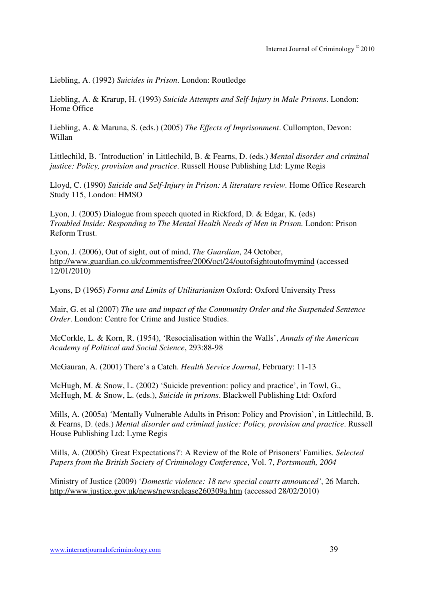Liebling, A. (1992) *Suicides in Prison*. London: Routledge

Liebling, A. & Krarup, H. (1993) *Suicide Attempts and Self-Injury in Male Prisons*. London: Home Office

Liebling, A. & Maruna, S. (eds.) (2005) *The Effects of Imprisonment*. Cullompton, Devon: Willan

Littlechild, B. 'Introduction' in Littlechild, B. & Fearns, D. (eds.) *Mental disorder and criminal justice: Policy, provision and practice*. Russell House Publishing Ltd: Lyme Regis

Lloyd, C. (1990) *Suicide and Self-Injury in Prison: A literature review.* Home Office Research Study 115, London: HMSO

Lyon, J. (2005) Dialogue from speech quoted in Rickford, D. & Edgar, K. (eds) *Troubled Inside: Responding to The Mental Health Needs of Men in Prison.* London: Prison Reform Trust.

Lyon, J. (2006), Out of sight, out of mind, *The Guardian*, 24 October, http://www.guardian.co.uk/commentisfree/2006/oct/24/outofsightoutofmymind (accessed 12/01/2010)

Lyons, D (1965) *Forms and Limits of Utilitarianism* Oxford: Oxford University Press

Mair, G. et al (2007) *The use and impact of the Community Order and the Suspended Sentence Order*. London: Centre for Crime and Justice Studies.

McCorkle, L. & Korn, R. (1954), 'Resocialisation within the Walls', *Annals of the American Academy of Political and Social Science*, 293:88-98

McGauran, A. (2001) There's a Catch. *Health Service Journal*, February: 11-13

McHugh, M. & Snow, L. (2002) 'Suicide prevention: policy and practice', in Towl, G., McHugh, M. & Snow, L. (eds.), *Suicide in prisons*. Blackwell Publishing Ltd: Oxford

Mills, A. (2005a) 'Mentally Vulnerable Adults in Prison: Policy and Provision', in Littlechild, B. & Fearns, D. (eds.) *Mental disorder and criminal justice: Policy, provision and practice*. Russell House Publishing Ltd: Lyme Regis

Mills, A. **(**2005b) 'Great Expectations?': A Review of the Role of Prisoners' Families. *Selected Papers from the British Society of Criminology Conference*, Vol. 7, *Portsmouth, 2004*

Ministry of Justice (2009) '*Domestic violence: 18 new special courts announced'*, 26 March. http://www.justice.gov.uk/news/newsrelease260309a.htm (accessed 28/02/2010)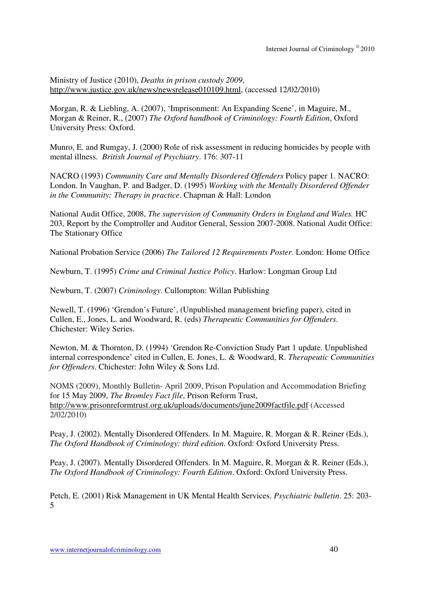Ministry of Justice (2010), *Deaths in prison custody 2009*, http://www.justice.gov.uk/news/newsrelease010109.html, (accessed 12/02/2010)

Morgan, R. & Liebling, A. (2007), 'Imprisonment: An Expanding Scene', in Maguire, M., Morgan & Reiner, R., (2007) *The Oxford handbook of Criminology: Fourth Edition*, Oxford University Press: Oxford.

Munro, E. and Rumgay, J. (2000) Role of risk assessment in reducing homicides by people with mental illness. *British Journal of Psychiatry*. 176: 307-11

NACRO (1993) *Community Care and Mentally Disordered Offenders* Policy paper 1. NACRO: London. In Vaughan, P. and Badger, D. (1995) *Working with the Mentally Disordered Offender in the Community: Therapy in practice*. Chapman & Hall: London

National Audit Office, 2008, *The supervision of Community Orders in England and Wales.* HC 203, Report by the Comptroller and Auditor General, Session 2007-2008. National Audit Office: The Stationary Office

National Probation Service (2006) *The Tailored 12 Requirements Poster*. London: Home Office

Newburn, T. (1995) *Crime and Criminal Justice Policy*. Harlow: Longman Group Ltd

Newburn, T. (2007) *Criminology*. Cullompton: Willan Publishing

Newell, T. (1996) 'Grendon's Future', (Unpublished management briefing paper), cited in Cullen, E., Jones, L. and Woodward, R. (eds) *Therapeutic Communities for Offenders*. Chichester: Wiley Series.

Newton, M. & Thornton, D. (1994) 'Grendon Re-Conviction Study Part 1 update. Unpublished internal correspondence' cited in Cullen, E. Jones, L. & Woodward, R. *Therapeutic Communities for Offenders*. Chichester: John Wiley & Sons Ltd.

NOMS (2009), Monthly Bulletin- April 2009, Prison Population and Accommodation Briefing for 15 May 2009, *The Bromley Fact file*, Prison Reform Trust, http://www.prisonreformtrust.org.uk/uploads/documents/june2009factfile.pdf (Accessed 2/02/2010)

Peay, J. (2002). Mentally Disordered Offenders. In M. Maguire, R. Morgan & R. Reiner (Eds.), *The Oxford Handbook of Criminology: third edition*. Oxford: Oxford University Press.

Peay, J. (2007). Mentally Disordered Offenders. In M. Maguire, R. Morgan & R. Reiner (Eds.), *The Oxford Handbook of Criminology: Fourth Edition*. Oxford: Oxford University Press.

Petch, E. (2001) Risk Management in UK Mental Health Services. *Psychiatric bulletin*. 25: 203- 5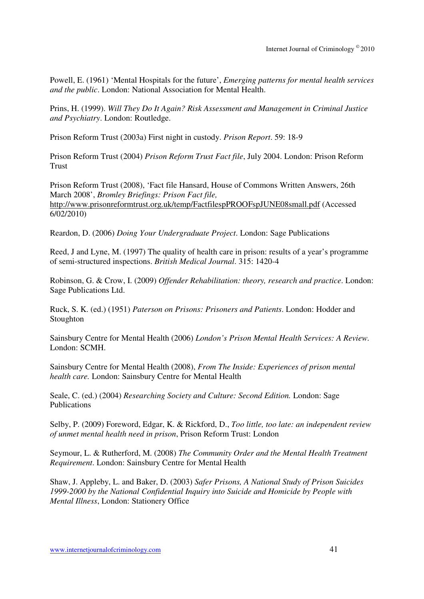Powell, E. (1961) 'Mental Hospitals for the future', *Emerging patterns for mental health services and the public*. London: National Association for Mental Health.

Prins, H. (1999). *Will They Do It Again? Risk Assessment and Management in Criminal Justice and Psychiatry*. London: Routledge.

Prison Reform Trust (2003a) First night in custody. *Prison Report*. 59: 18-9

Prison Reform Trust (2004) *Prison Reform Trust Fact file*, July 2004. London: Prison Reform **Trust** 

Prison Reform Trust (2008), 'Fact file Hansard, House of Commons Written Answers, 26th March 2008', *Bromley Briefings: Prison Fact file,* http://www.prisonreformtrust.org.uk/temp/FactfilespPROOFspJUNE08small.pdf (Accessed 6/02/2010)

Reardon, D. (2006) *Doing Your Undergraduate Project*. London: Sage Publications

Reed, J and Lyne, M. (1997) The quality of health care in prison: results of a year's programme of semi-structured inspections. *British Medical Journal*. 315: 1420-4

Robinson, G. & Crow, I. (2009) *Offender Rehabilitation: theory, research and practice*. London: Sage Publications Ltd.

Ruck, S. K. (ed.) (1951) *Paterson on Prisons: Prisoners and Patients*. London: Hodder and Stoughton

Sainsbury Centre for Mental Health (2006) *London's Prison Mental Health Services: A Review.*  London: SCMH.

Sainsbury Centre for Mental Health (2008), *From The Inside: Experiences of prison mental health care.* London: Sainsbury Centre for Mental Health

Seale, C. (ed.) (2004) *Researching Society and Culture: Second Edition.* London: Sage Publications

Selby, P. (2009) Foreword, Edgar, K. & Rickford, D., *Too little, too late: an independent review of unmet mental health need in prison*, Prison Reform Trust: London

Seymour, L. & Rutherford, M. (2008) *The Community Order and the Mental Health Treatment Requirement*. London: Sainsbury Centre for Mental Health

Shaw, J. Appleby, L. and Baker, D. (2003) *Safer Prisons, A National Study of Prison Suicides 1999-2000 by the National Confidential Inquiry into Suicide and Homicide by People with Mental Illness*, London: Stationery Office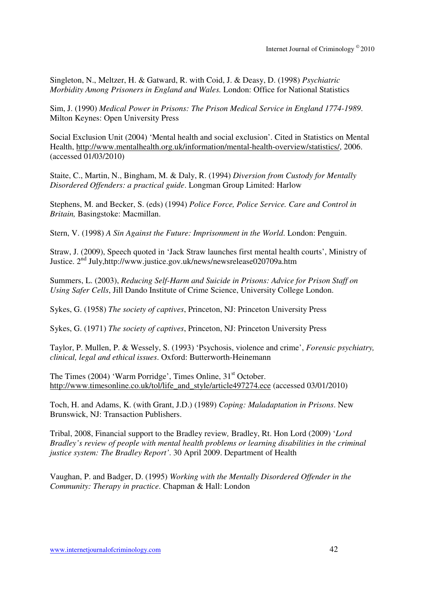Singleton, N., Meltzer, H. & Gatward, R. with Coid, J. & Deasy, D. (1998) *Psychiatric Morbidity Among Prisoners in England and Wales.* London: Office for National Statistics

Sim, J. (1990) *Medical Power in Prisons: The Prison Medical Service in England 1774-1989*. Milton Keynes: Open University Press

Social Exclusion Unit (2004) 'Mental health and social exclusion'. Cited in Statistics on Mental Health, http://www.mentalhealth.org.uk/information/mental-health-overview/statistics/, 2006. (accessed 01/03/2010)

Staite, C., Martin, N., Bingham, M. & Daly, R. (1994) *Diversion from Custody for Mentally Disordered Offenders: a practical guide*. Longman Group Limited: Harlow

Stephens, M. and Becker, S. (eds) (1994) *Police Force, Police Service. Care and Control in Britain,* Basingstoke: Macmillan.

Stern, V. (1998) *A Sin Against the Future: Imprisonment in the World*. London: Penguin.

Straw, J. (2009), Speech quoted in 'Jack Straw launches first mental health courts', Ministry of Justice. 2nd July,http://www.justice.gov.uk/news/newsrelease020709a.htm

Summers, L. (2003), *Reducing Self-Harm and Suicide in Prisons: Advice for Prison Staff on Using Safer Cells*, Jill Dando Institute of Crime Science, University College London.

Sykes, G. (1958) *The society of captives*, Princeton, NJ: Princeton University Press

Sykes, G. (1971) *The society of captives*, Princeton, NJ: Princeton University Press

Taylor, P. Mullen, P. & Wessely, S. (1993) 'Psychosis, violence and crime', *Forensic psychiatry, clinical, legal and ethical issues*. Oxford: Butterworth-Heinemann

The Times (2004) 'Warm Porridge', Times Online, 31<sup>st</sup> October. http://www.timesonline.co.uk/tol/life\_and\_style/article497274.ece (accessed 03/01/2010)

Toch, H. and Adams, K. (with Grant, J.D.) (1989) *Coping: Maladaptation in Prisons*. New Brunswick, NJ: Transaction Publishers.

Tribal, 2008, Financial support to the Bradley review*,* Bradley, Rt. Hon Lord (2009) '*Lord Bradley's review of people with mental health problems or learning disabilities in the criminal justice system: The Bradley Report'*. 30 April 2009. Department of Health

Vaughan, P. and Badger, D. (1995) *Working with the Mentally Disordered Offender in the Community: Therapy in practice*. Chapman & Hall: London